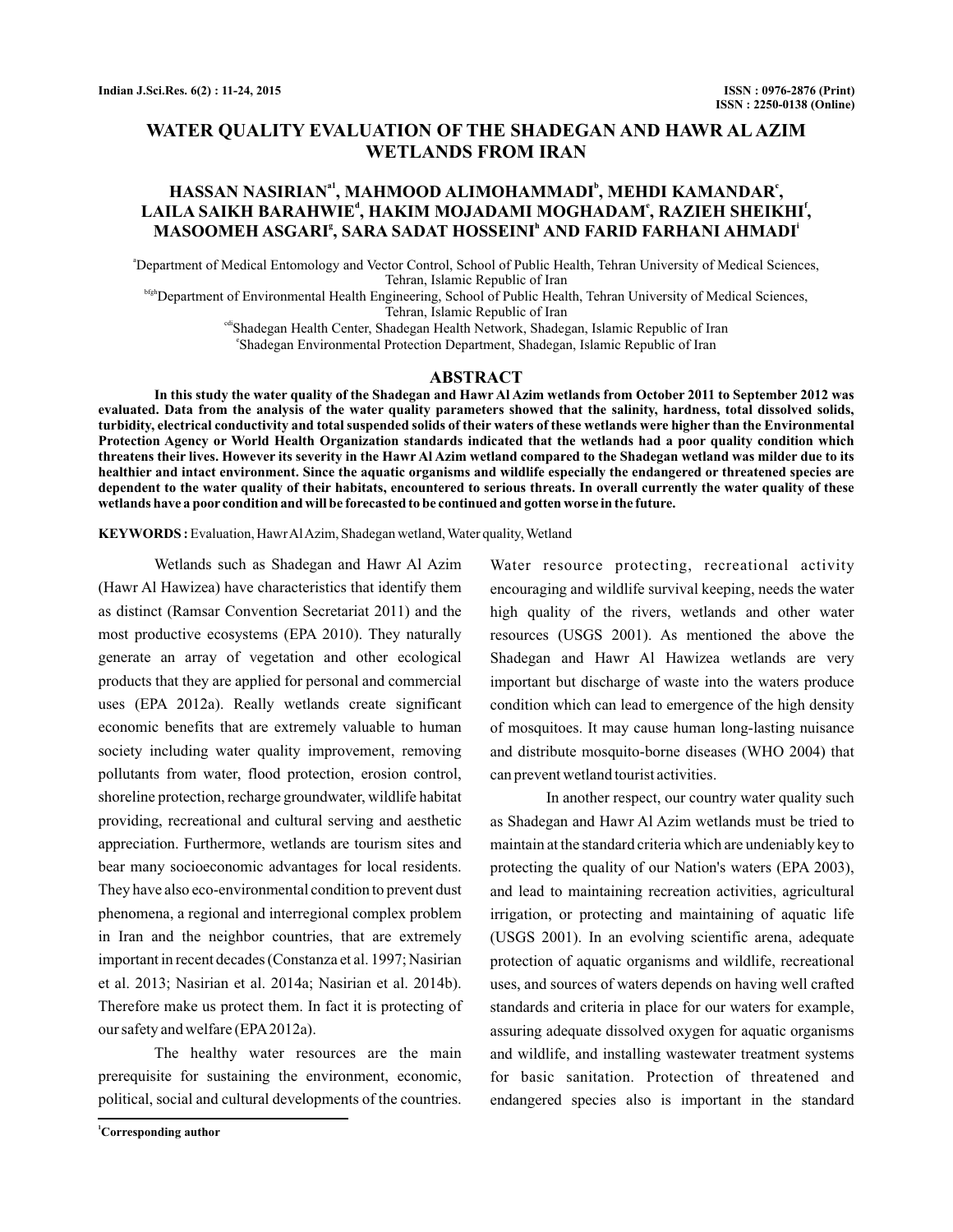# **WATER QUALITY EVALUATION OF THE SHADEGAN AND HAWR AL AZIM WETLANDS FROM IRAN**

# **HASSAN NASIRIAN , MAHMOOD ALIMOHAMMADI , MEHDI KAMANDAR , a1 b c**  $\mathbf{L}\mathbf{A}\mathbf{I}\mathbf{L}\mathbf{A}\mathbf{S}\mathbf{A}\mathbf{I}\mathbf{K}\mathbf{H}\mathbf{B}\mathbf{A}\mathbf{R}\mathbf{A}\mathbf{H}\mathbf{W}\mathbf{I}\mathbf{E}^{\mathsf{d}},$   $\mathbf{H}\mathbf{A}\mathbf{K}\mathbf{I}\mathbf{M}\mathbf{M}\mathbf{O}\mathbf{J}\mathbf{A}\mathbf{D}\mathbf{A}\mathbf{M}\mathbf{I}$  MOGHADAM',  $\mathbf{R}\mathbf{A}\mathbf{Z}\mathbf{I}\mathbf{E}\mathbf{H}\mathbf{S}\mathbf{H$ **MASOOMEH ASGARI , SARA SADAT HOSSEINI AND FARID FARHANI AHMADI g h i**

a Department of Medical Entomology and Vector Control, School of Public Health, Tehran University of Medical Sciences, Tehran, Islamic Republic of Iran

bfgh Department of Environmental Health Engineering, School of Public Health, Tehran University of Medical Sciences, Tehran, Islamic Republic of Iran

> cdi Shadegan Health Center, Shadegan Health Network, Shadegan, Islamic Republic of Iran e Shadegan Environmental Protection Department, Shadegan, Islamic Republic of Iran

## **ABSTRACT**

**In this study the water quality of the Shadegan and Hawr Al Azim wetlands from October 2011 to September 2012 was evaluated. Data from the analysis of the water quality parameters showed that the salinity, hardness, total dissolved solids, turbidity, electrical conductivity and total suspended solids of their waters of these wetlands were higher than the Environmental Protection Agency or World Health Organization standards indicated that the wetlands had a poor quality condition which threatens their lives. However its severity in the Hawr Al Azim wetland compared to the Shadegan wetland was milder due to its healthier and intact environment. Since the aquatic organisms and wildlife especially the endangered or threatened species are dependent to the water quality of their habitats, encountered to serious threats. In overall currently the water quality of these wetlands have a poor condition and will be forecasted to be continued and gotten worse in the future.**

**KEYWORDS**: Evaluation, Hawr Al Azim, Shadegan wetland, Water quality, Wetland

Wetlands such as Shadegan and Hawr Al Azim (Hawr Al Hawizea) have characteristics that identify them as distinct (Ramsar Convention Secretariat 2011) and the most productive ecosystems (EPA 2010). They naturally generate an array of vegetation and other ecological products that they are applied for personal and commercial uses (EPA 2012a). Really wetlands create significant economic benefits that are extremely valuable to human society including water quality improvement, removing pollutants from water, flood protection, erosion control, shoreline protection, recharge groundwater, wildlife habitat providing, recreational and cultural serving and aesthetic appreciation. Furthermore, wetlands are tourism sites and bear many socioeconomic advantages for local residents. They have also eco-environmental condition to prevent dust phenomena, a regional and interregional complex problem in Iran and the neighbor countries, that are extremely important in recent decades (Constanza et al. 1997; Nasirian et al. 2013; Nasirian et al. 2014a; Nasirian et al. 2014b). Therefore make us protect them. In fact it is protecting of our safety and welfare (EPA2012a).

The healthy water resources are the main prerequisite for sustaining the environment, economic, political, social and cultural developments of the countries.

**<sup>1</sup>Corresponding author**

Water resource protecting, recreational activity encouraging and wildlife survival keeping, needs the water high quality of the rivers, wetlands and other water resources (USGS 2001). As mentioned the above the Shadegan and Hawr Al Hawizea wetlands are very important but discharge of waste into the waters produce condition which can lead to emergence of the high density of mosquitoes. It may cause human long-lasting nuisance and distribute mosquito-borne diseases (WHO 2004) that can prevent wetland tourist activities.

In another respect, our country water quality such as Shadegan and Hawr Al Azim wetlands must be tried to maintain at the standard criteria which are undeniably key to protecting the quality of our Nation's waters (EPA 2003), and lead to maintaining recreation activities, agricultural irrigation, or protecting and maintaining of aquatic life (USGS 2001). In an evolving scientific arena, adequate protection of aquatic organisms and wildlife, recreational uses, and sources of waters depends on having well crafted standards and criteria in place for our waters for example, assuring adequate dissolved oxygen for aquatic organisms and wildlife, and installing wastewater treatment systems for basic sanitation. Protection of threatened and endangered species also is important in the standard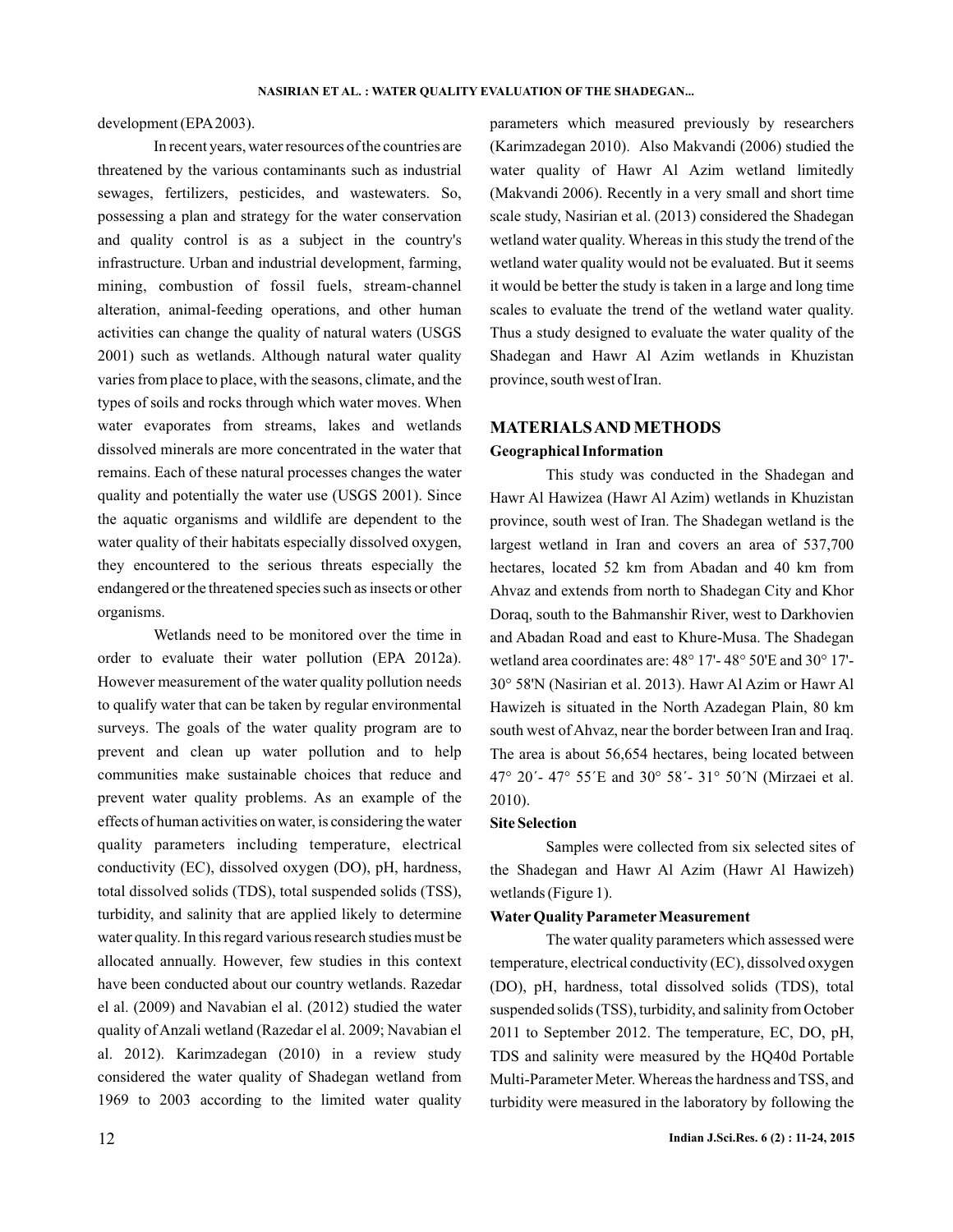development (EPA2003).

In recent years, water resources of the countries are threatened by the various contaminants such as industrial sewages, fertilizers, pesticides, and wastewaters. So, possessing a plan and strategy for the water conservation and quality control is as a subject in the country's infrastructure. Urban and industrial development, farming, mining, combustion of fossil fuels, stream-channel alteration, animal-feeding operations, and other human activities can change the quality of natural waters (USGS 2001) such as wetlands. Although natural water quality varies from place to place, with the seasons, climate, and the types of soils and rocks through which water moves. When water evaporates from streams, lakes and wetlands dissolved minerals are more concentrated in the water that remains. Each of these natural processes changes the water quality and potentially the water use (USGS 2001). Since the aquatic organisms and wildlife are dependent to the water quality of their habitats especially dissolved oxygen, they encountered to the serious threats especially the endangered or the threatened species such as insects or other organisms.

Wetlands need to be monitored over the time in order to evaluate their water pollution (EPA 2012a). However measurement of the water quality pollution needs to qualify water that can be taken by regular environmental surveys. The goals of the water quality program are to prevent and clean up water pollution and to help communities make sustainable choices that reduce and prevent water quality problems. As an example of the effects of human activities on water, is considering the water quality parameters including temperature, electrical conductivity (EC), dissolved oxygen (DO), pH, hardness, total dissolved solids (TDS), total suspended solids (TSS), turbidity, and salinity that are applied likely to determine water quality. In this regard various research studies must be allocated annually. However, few studies in this context have been conducted about our country wetlands. Razedar el al. (2009) and Navabian el al. (2012) studied the water quality of Anzali wetland (Razedar el al. 2009; Navabian el al. 2012). Karimzadegan (2010) in a review study considered the water quality of Shadegan wetland from 1969 to 2003 according to the limited water quality

parameters which measured previously by researchers (Karimzadegan 2010). Also Makvandi (2006) studied the water quality of Hawr Al Azim wetland limitedly (Makvandi 2006). Recently in a very small and short time scale study, Nasirian et al. (2013) considered the Shadegan wetland water quality. Whereas in this study the trend of the wetland water quality would not be evaluated. But it seems it would be better the study is taken in a large and long time scales to evaluate the trend of the wetland water quality. Thus a study designed to evaluate the water quality of the Shadegan and Hawr Al Azim wetlands in Khuzistan province, south west of Iran.

# **MATERIALSAND METHODS**

### **Geographical Information**

This study was conducted in the Shadegan and Hawr Al Hawizea (Hawr Al Azim) wetlands in Khuzistan province, south west of Iran. The Shadegan wetland is the largest wetland in Iran and covers an area of 537,700 hectares, located 52 km from Abadan and 40 km from Ahvaz and extends from north to Shadegan City and Khor Doraq, south to the Bahmanshir River, west to Darkhovien and Abadan Road and east to Khure-Musa. The Shadegan wetland area coordinates are:  $48^{\circ}$  17'- $48^{\circ}$  50'E and 30 $^{\circ}$  17'-30 58'N (Nasirian et al. 2013). Hawr Al Azim or Hawr Al ° Hawizeh is situated in the North Azadegan Plain, 80 km south west of Ahvaz, near the border between Iran and Iraq. The area is about 56,654 hectares, being located between 47° 20´- 47° 55´E and 30° 58´- 31° 50´N (Mirzaei et al. 2010).

## **Site Selection**

Samples were collected from six selected sites of the Shadegan and Hawr Al Azim (Hawr Al Hawizeh) wetlands (Figure 1).

#### **Water Quality Parameter Measurement**

The water quality parameters which assessed were temperature, electrical conductivity (EC), dissolved oxygen (DO), pH, hardness, total dissolved solids (TDS), total suspended solids (TSS), turbidity, and salinity from October 2011 to September 2012. The temperature, EC, DO, pH, TDS and salinity were measured by the HQ40d Portable Multi-Parameter Meter.Whereas the hardness and TSS, and turbidity were measured in the laboratory by following the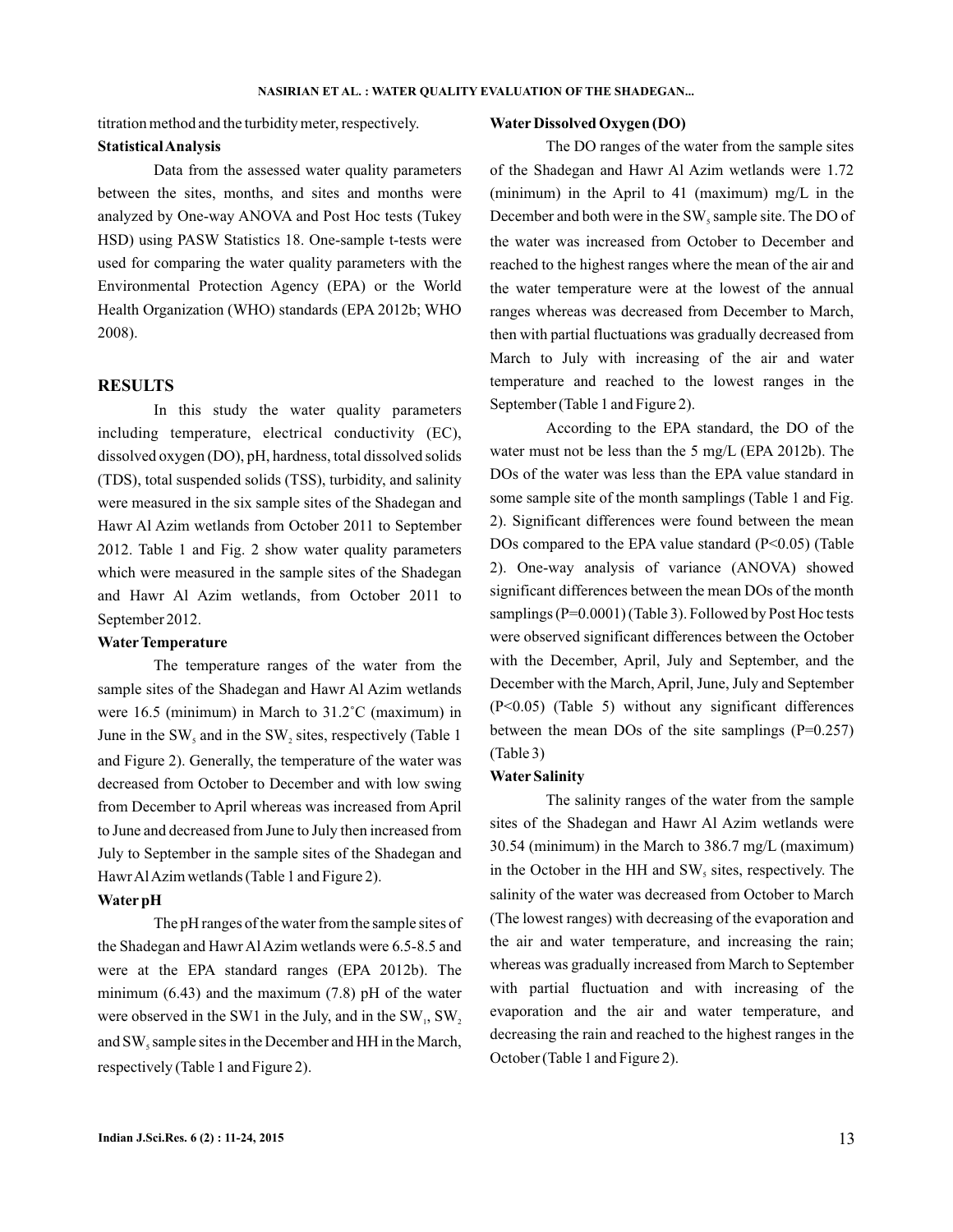titration method and the turbidity meter, respectively.

# **StatisticalAnalysis**

Data from the assessed water quality parameters between the sites, months, and sites and months were analyzed by One-way ANOVA and Post Hoc tests (Tukey HSD) using PASW Statistics 18. One-sample t-tests were used for comparing the water quality parameters with the Environmental Protection Agency (EPA) or the World Health Organization (WHO) standards (EPA 2012b; WHO 2008).

# **RESULTS**

In this study the water quality parameters including temperature, electrical conductivity (EC), dissolved oxygen (DO), pH, hardness, total dissolved solids (TDS), total suspended solids (TSS), turbidity, and salinity were measured in the six sample sites of the Shadegan and Hawr Al Azim wetlands from October 2011 to September 2012. Table 1 and Fig. 2 show water quality parameters which were measured in the sample sites of the Shadegan and Hawr Al Azim wetlands, from October 2011 to September 2012.

#### **WaterTemperature**

The temperature ranges of the water from the sample sites of the Shadegan and Hawr Al Azim wetlands were 16.5 (minimum) in March to 31.2˚C (maximum) in June in the  $SW<sub>s</sub>$  and in the  $SW<sub>2</sub>$  sites, respectively (Table 1) and Figure 2). Generally, the temperature of the water was decreased from October to December and with low swing from December to April whereas was increased from April to June and decreased from June to July then increased from July to September in the sample sites of the Shadegan and HawrAlAzim wetlands (Table 1 and Figure 2).

## **Water pH**

The pH ranges of the water from the sample sites of the Shadegan and Hawr Al Azim wetlands were 6.5-8.5 and were at the EPA standard ranges (EPA 2012b). The minimum  $(6.43)$  and the maximum  $(7.8)$  pH of the water were observed in the SW1 in the July, and in the SW<sub>1</sub>, SW<sub>2</sub> and SW<sub>s</sub> sample sites in the December and HH in the March, respectively (Table 1 and Figure 2).

#### **Water Dissolved Oxygen (DO)**

The DO ranges of the water from the sample sites of the Shadegan and Hawr Al Azim wetlands were 1.72 (minimum) in the April to 41 (maximum) mg/L in the December and both were in the SW<sub>s</sub> sample site. The DO of the water was increased from October to December and reached to the highest ranges where the mean of the air and the water temperature were at the lowest of the annual ranges whereas was decreased from December to March, then with partial fluctuations was gradually decreased from March to July with increasing of the air and water temperature and reached to the lowest ranges in the September (Table 1 and Figure 2).

According to the EPA standard, the DO of the water must not be less than the 5 mg/L (EPA 2012b). The DOs of the water was less than the EPA value standard in some sample site of the month samplings (Table 1 and Fig. 2). Significant differences were found between the mean DOs compared to the EPA value standard  $(P<0.05)$  (Table 2). One-way analysis of variance (ANOVA) showed significant differences between the mean DOs of the month samplings (P=0.0001) (Table 3). Followed by Post Hoc tests were observed significant differences between the October with the December, April, July and September, and the December with the March, April, June, July and September (P<0.05) (Table 5) without any significant differences between the mean DOs of the site samplings  $(P=0.257)$ (Table 3)

#### **Water Salinity**

The salinity ranges of the water from the sample sites of the Shadegan and Hawr Al Azim wetlands were 30.54 (minimum) in the March to 386.7 mg/L (maximum) in the October in the HH and  $SW<sub>s</sub>$  sites, respectively. The salinity of the water was decreased from October to March (The lowest ranges) with decreasing of the evaporation and the air and water temperature, and increasing the rain; whereas was gradually increased from March to September with partial fluctuation and with increasing of the evaporation and the air and water temperature, and decreasing the rain and reached to the highest ranges in the October (Table 1 and Figure 2).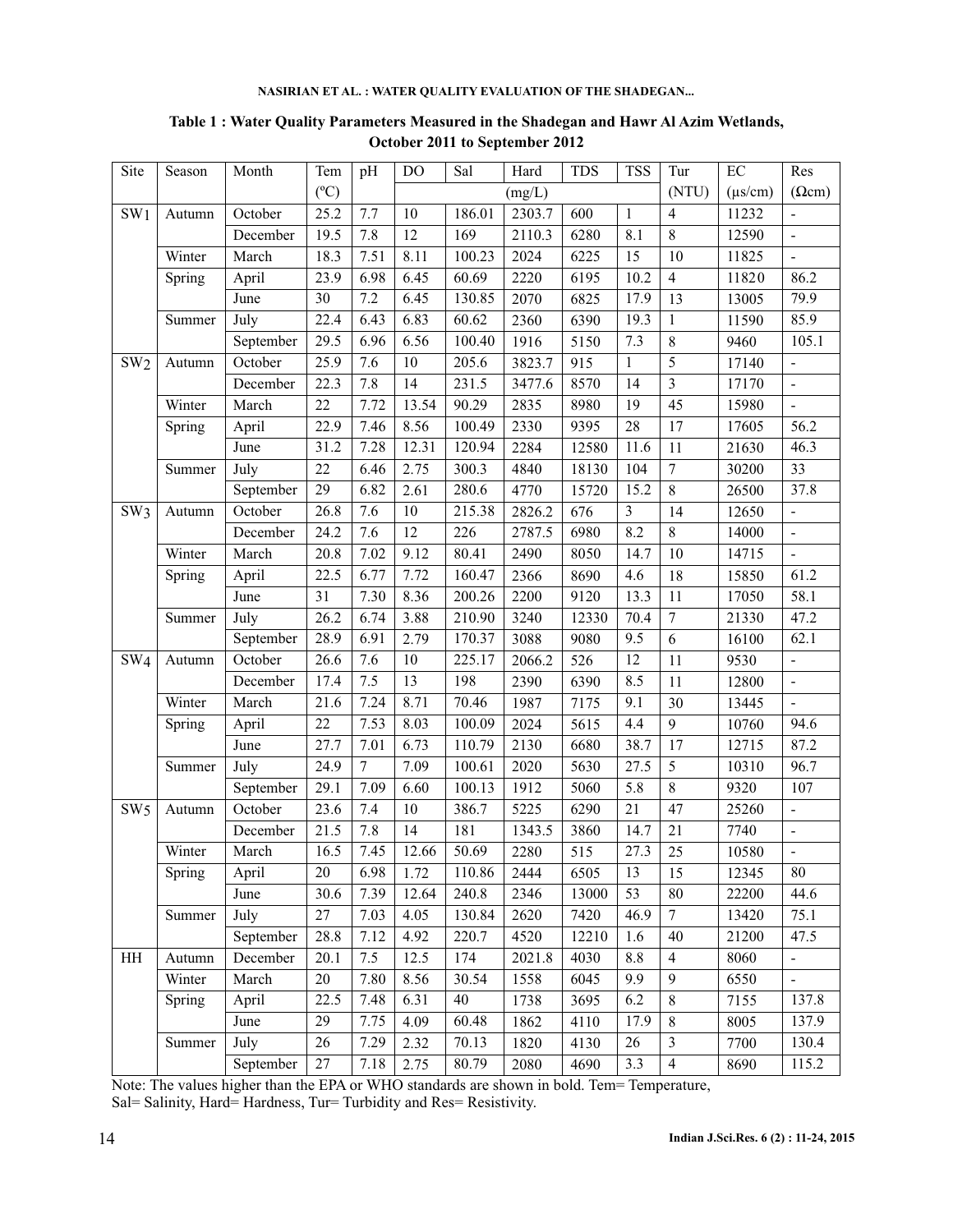| Site            | Season | Month     | Tem           | pH             | D <sub>O</sub> | Sal    | Hard   | <b>TDS</b> | <b>TSS</b>     | Tur                     | $\rm EC$     | Res                      |
|-----------------|--------|-----------|---------------|----------------|----------------|--------|--------|------------|----------------|-------------------------|--------------|--------------------------|
|                 |        |           | $(^{\circ}C)$ |                |                |        | (mg/L) |            |                | (NTU)                   | $(\mu s/cm)$ | $(\Omega$ cm)            |
| SW <sub>1</sub> | Autumn | October   | 25.2          | 7.7            | 10             | 186.01 | 2303.7 | 600        | $\mathbf{1}$   | 4                       | 11232        |                          |
|                 |        | December  | 19.5          | 7.8            | 12             | 169    | 2110.3 | 6280       | 8.1            | 8                       | 12590        | $\Box$                   |
|                 | Winter | March     | 18.3          | 7.51           | 8.11           | 100.23 | 2024   | 6225       | 15             | $10\,$                  | 11825        | $\Box$                   |
|                 | Spring | April     | 23.9          | 6.98           | 6.45           | 60.69  | 2220   | 6195       | 10.2           | $\overline{4}$          | 11820        | 86.2                     |
|                 |        | June      | $30\,$        | $7.2\,$        | 6.45           | 130.85 | 2070   | 6825       | 17.9           | 13                      | 13005        | 79.9                     |
|                 | Summer | July      | 22.4          | 6.43           | 6.83           | 60.62  | 2360   | 6390       | 19.3           | $\mathbf{1}$            | 11590        | 85.9                     |
|                 |        | September | 29.5          | 6.96           | 6.56           | 100.40 | 1916   | 5150       | 7.3            | 8                       | 9460         | 105.1                    |
| SW <sub>2</sub> | Autumn | October   | 25.9          | 7.6            | 10             | 205.6  | 3823.7 | 915        | $\mathbf{1}$   | 5                       | 17140        | $\Box$                   |
|                 |        | December  | 22.3          | 7.8            | 14             | 231.5  | 3477.6 | 8570       | 14             | $\overline{\mathbf{3}}$ | 17170        | $\Box$                   |
|                 | Winter | March     | 22            | 7.72           | 13.54          | 90.29  | 2835   | 8980       | 19             | 45                      | 15980        | $\blacksquare$           |
|                 | Spring | April     | 22.9          | 7.46           | 8.56           | 100.49 | 2330   | 9395       | 28             | 17                      | 17605        | 56.2                     |
|                 |        | June      | 31.2          | 7.28           | 12.31          | 120.94 | 2284   | 12580      | 11.6           | 11                      | 21630        | 46.3                     |
|                 | Summer | July      | 22            | 6.46           | 2.75           | 300.3  | 4840   | 18130      | 104            | $\boldsymbol{7}$        | 30200        | 33                       |
|                 |        | September | 29            | 6.82           | 2.61           | 280.6  | 4770   | 15720      | 15.2           | 8                       | 26500        | 37.8                     |
| SW <sub>3</sub> | Autumn | October   | 26.8          | 7.6            | $10\,$         | 215.38 | 2826.2 | 676        | $\mathfrak{Z}$ | 14                      | 12650        | $\blacksquare$           |
|                 |        | December  | 24.2          | 7.6            | 12             | 226    | 2787.5 | 6980       | 8.2            | $\overline{8}$          | 14000        | $\blacksquare$           |
|                 | Winter | March     | 20.8          | 7.02           | 9.12           | 80.41  | 2490   | 8050       | 14.7           | 10                      | 14715        | $\blacksquare$           |
|                 | Spring | April     | 22.5          | 6.77           | 7.72           | 160.47 | 2366   | 8690       | 4.6            | 18                      | 15850        | 61.2                     |
|                 |        | June      | 31            | 7.30           | 8.36           | 200.26 | 2200   | 9120       | 13.3           | 11                      | 17050        | 58.1                     |
|                 | Summer | July      | 26.2          | 6.74           | 3.88           | 210.90 | 3240   | 12330      | 70.4           | $\overline{7}$          | 21330        | 47.2                     |
|                 |        | September | 28.9          | 6.91           | 2.79           | 170.37 | 3088   | 9080       | 9.5            | $\sqrt{6}$              | 16100        | 62.1                     |
| SW <sub>4</sub> | Autumn | October   | 26.6          | 7.6            | 10             | 225.17 | 2066.2 | 526        | 12             | 11                      | 9530         | $\Box$                   |
|                 |        | December  | 17.4          | 7.5            | 13             | 198    | 2390   | 6390       | 8.5            | 11                      | 12800        | $\Box$                   |
|                 | Winter | March     | 21.6          | 7.24           | 8.71           | 70.46  | 1987   | 7175       | 9.1            | 30                      | 13445        | $\blacksquare$           |
|                 | Spring | April     | 22            | 7.53           | 8.03           | 100.09 | 2024   | 5615       | 4.4            | 9                       | 10760        | 94.6                     |
|                 |        | June      | 27.7          | 7.01           | 6.73           | 110.79 | 2130   | 6680       | 38.7           | 17                      | 12715        | 87.2                     |
|                 | Summer | July      | 24.9          | $\overline{7}$ | 7.09           | 100.61 | 2020   | 5630       | 27.5           | $\overline{5}$          | 10310        | 96.7                     |
|                 |        | September | 29.1          | 7.09           | 6.60           | 100.13 | 1912   | 5060       | 5.8            | 8                       | 9320         | 107                      |
| SW <sub>5</sub> | Autumn | October   | 23.6          | 7.4            | $10\,$         | 386.7  | 5225   | 6290       | 21             | 47                      | 25260        | $\blacksquare$           |
|                 |        | December  | 21.5          | 7.8            | 14             | 181    | 1343.5 | 3860       | 14.7           | 21                      | 7740         | $\overline{a}$           |
|                 | Winter | March     | 16.5          | 7.45           | 12.66          | 50.69  | 2280   | 515        | 27.3           | 25                      | 10580        | $\overline{\phantom{a}}$ |
|                 | Spring | April     | $20\,$        | 6.98           | 1.72           | 110.86 | 2444   | 6505       | 13             | 15                      | 12345        | 80                       |
|                 |        | June      | 30.6          | 7.39           | 12.64          | 240.8  | 2346   | 13000      | 53             | 80                      | 22200        | 44.6                     |
|                 | Summer | July      | $27\,$        | 7.03           | 4.05           | 130.84 | 2620   | 7420       | 46.9           | $\overline{7}$          | 13420        | 75.1                     |
|                 |        | September | 28.8          | 7.12           | 4.92           | 220.7  | 4520   | 12210      | 1.6            | 40                      | 21200        | 47.5                     |
| HH              | Autumn | December  | 20.1          | 7.5            | 12.5           | 174    | 2021.8 | 4030       | 8.8            | $\overline{4}$          | 8060         | $\blacksquare$           |
|                 | Winter | March     | 20            | 7.80           | 8.56           | 30.54  | 1558   | 6045       | 9.9            | 9                       | 6550         | $\blacksquare$           |
|                 | Spring | April     | 22.5          | 7.48           | 6.31           | 40     | 1738   | 3695       | 6.2            | $\,8\,$                 | 7155         | 137.8                    |
|                 |        | June      | 29            | 7.75           | 4.09           | 60.48  | 1862   | 4110       | 17.9           | $\,8\,$                 | 8005         | 137.9                    |
|                 | Summer | July      | 26            | 7.29           | 2.32           | 70.13  | 1820   | 4130       | 26             | $\overline{\mathbf{3}}$ | 7700         | 130.4                    |
|                 |        | September | $27\,$        | 7.18           | 2.75           | 80.79  | 2080   | 4690       | 3.3            | $\overline{4}$          | 8690         | 115.2                    |

# **Table 1 : Water Quality Parameters Measured in the Shadegan and Hawr Al Azim Wetlands, October 2011 to September 2012**

Note: The values higher than the EPA or WHO standards are shown in bold. Tem= Temperature, Sal= Salinity, Hard= Hardness, Tur= Turbidity and Res= Resistivity.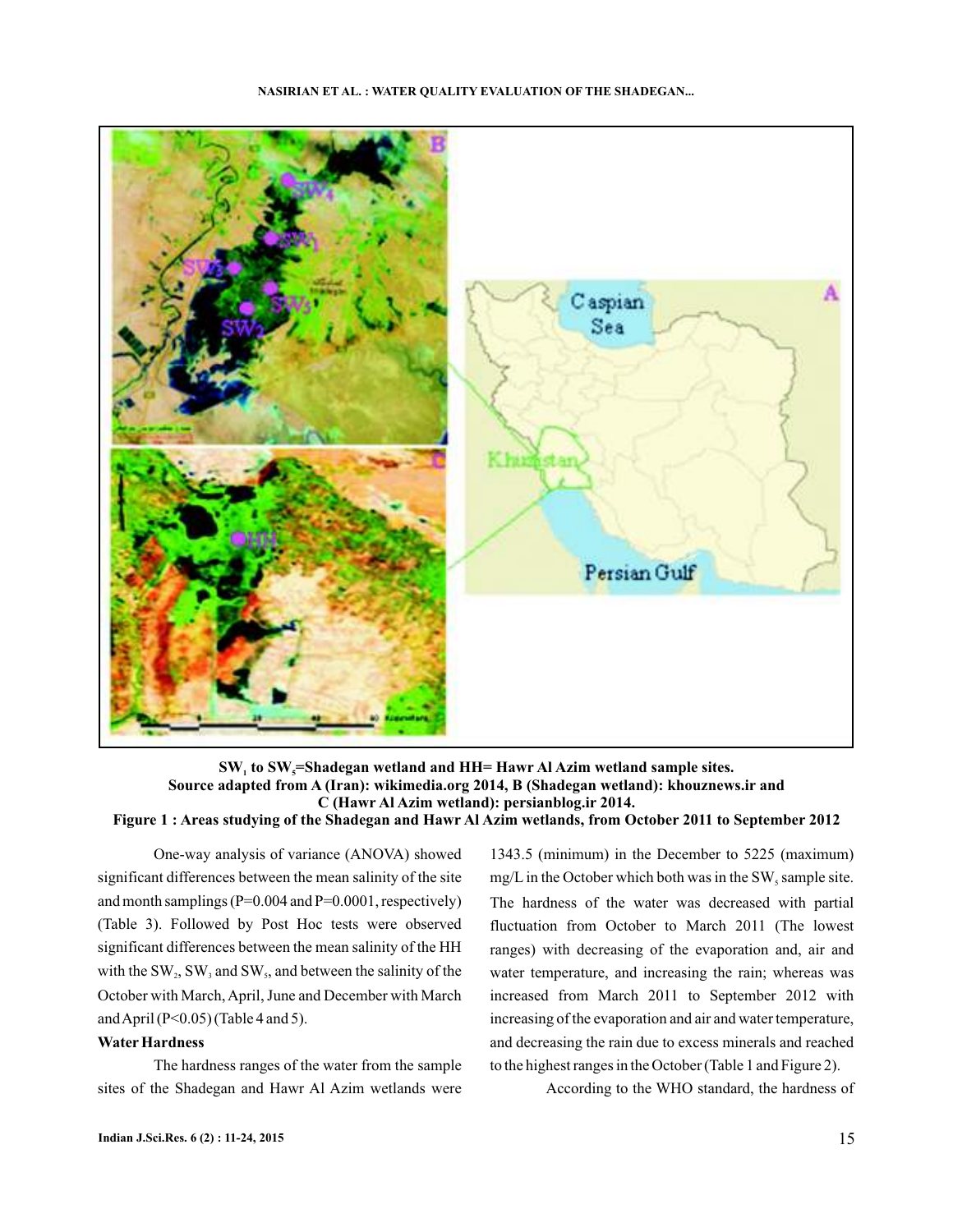

SW<sub>1</sub> to SW<sub>5</sub>=Shadegan wetland and HH= Hawr Al Azim wetland sample sites. **Source adapted from A (Iran): wikimedia.org 2014, B (Shadegan wetland): khouznews.ir and C (Hawr Al Azim wetland): persianblog.ir 2014. Figure 1 : Areas studying of the Shadegan and Hawr Al Azim wetlands, from October 2011 to September 2012**

One-way analysis of variance (ANOVA) showed significant differences between the mean salinity of the site and month samplings (P=0.004 and P=0.0001, respectively) (Table 3). Followed by Post Hoc tests were observed significant differences between the mean salinity of the HH with the  $SW_2, SW_3$  and  $SW_5$ , and between the salinity of the October with March, April, June and December with March andApril (P<0.05) (Table 4 and 5).

## **Water Hardness**

The hardness ranges of the water from the sample sites of the Shadegan and Hawr Al Azim wetlands were 1343.5 (minimum) in the December to 5225 (maximum)  $mg/L$  in the October which both was in the SW<sub>s</sub> sample site. The hardness of the water was decreased with partial fluctuation from October to March 2011 (The lowest ranges) with decreasing of the evaporation and, air and water temperature, and increasing the rain; whereas was increased from March 2011 to September 2012 with increasing of the evaporation and air and water temperature, and decreasing the rain due to excess minerals and reached to the highest ranges in the October (Table 1 and Figure 2).

According to the WHO standard, the hardness of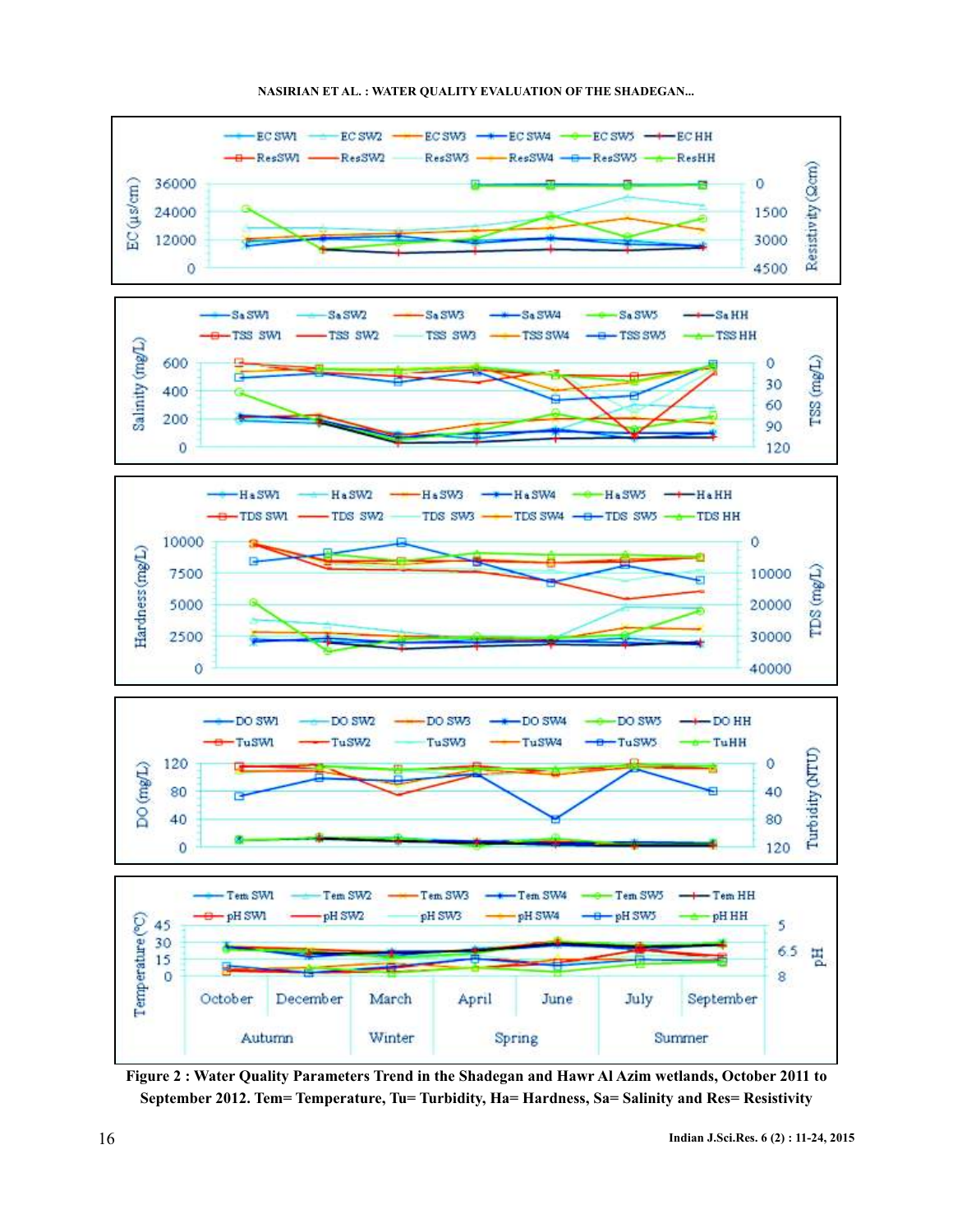



**Figure 2 : Water Quality Parameters Trend in the Shadegan and Hawr Al Azim wetlands, October 2011 to September 2012. Tem= Temperature, Tu= Turbidity, Ha= Hardness, Sa= Salinity and Res= Resistivity**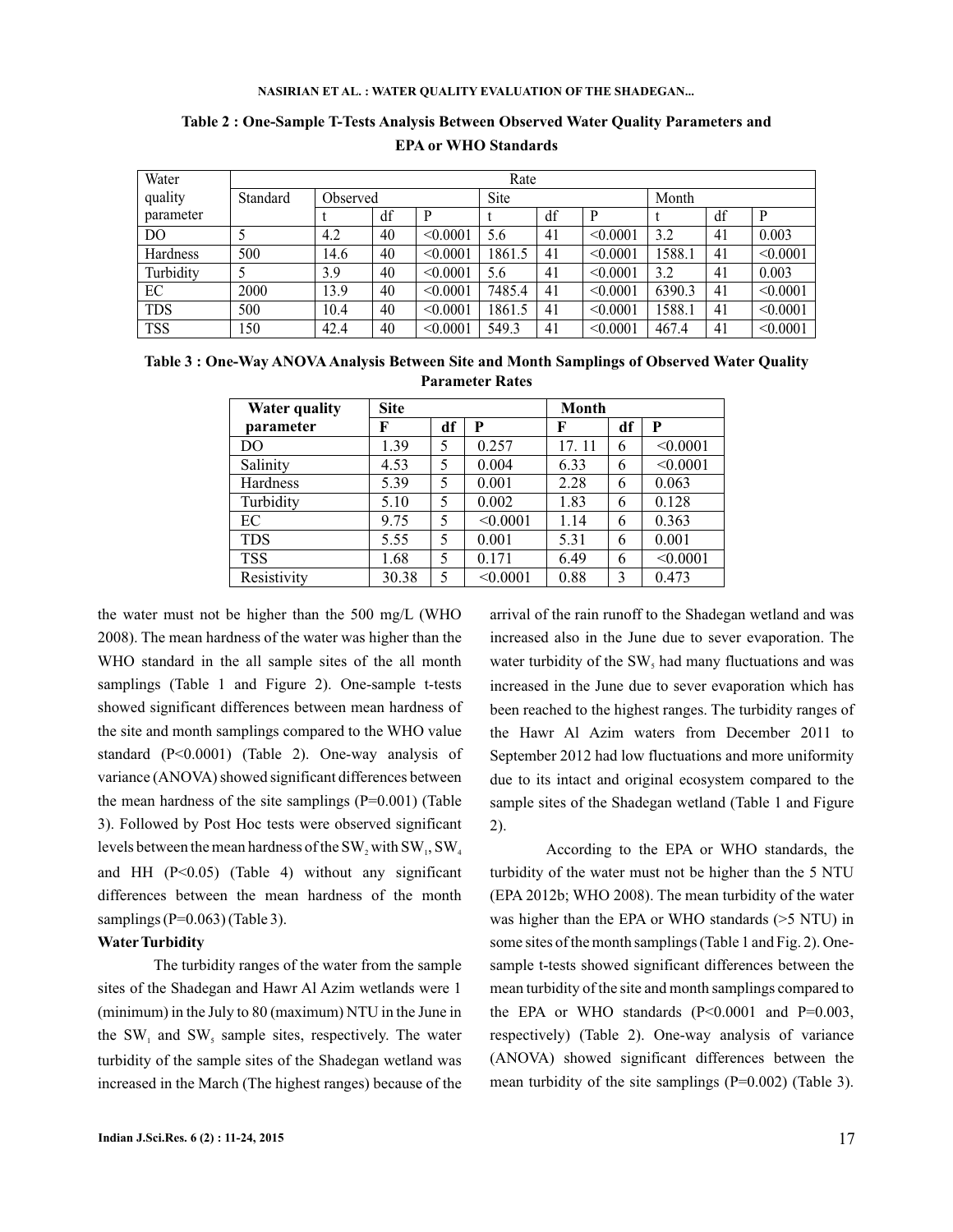| Water          |          |          |    |          | Rate   |    |          |        |    |          |
|----------------|----------|----------|----|----------|--------|----|----------|--------|----|----------|
| quality        | Standard | Observed |    |          | Site   |    |          | Month  |    |          |
| parameter      |          |          | df | P        |        | df | P        |        | df | P        |
| D <sub>O</sub> |          | 4.2      | 40 | < 0.0001 | 5.6    | 41 | < 0.0001 | 3.2    | 41 | 0.003    |
| Hardness       | 500      | 14.6     | 40 | < 0.0001 | 1861.5 | 41 | < 0.0001 | 1588.1 | 41 | < 0.0001 |
| Turbidity      |          | 3.9      | 40 | < 0.0001 | 5.6    | 41 | < 0.0001 | 3.2    | 41 | 0.003    |
| EC             | 2000     | 13.9     | 40 | < 0.0001 | 7485.4 | 41 | < 0.0001 | 6390.3 | 41 | < 0.0001 |
| <b>TDS</b>     | 500      | 10.4     | 40 | < 0.0001 | 1861.5 | 41 | < 0.0001 | 1588.1 | 41 | < 0.0001 |
| <b>TSS</b>     | 150      | 42.4     | 40 | < 0.0001 | 549.3  | 41 | < 0.0001 | 467.4  | 41 | < 0.0001 |

# **Table 2 : One-Sample T-Tests Analysis Between Observed Water Quality Parameters and EPA or WHO Standards**

| Table 3: One-Way ANOVA Analysis Between Site and Month Samplings of Observed Water Quality |  |
|--------------------------------------------------------------------------------------------|--|
| <b>Parameter Rates</b>                                                                     |  |

| <b>Water quality</b> | <b>Site</b> |    |          | Month  |    |          |
|----------------------|-------------|----|----------|--------|----|----------|
| parameter            | F           | df | P        | F      | df | P        |
| DO                   | 1.39        | 5  | 0.257    | 17. 11 | 6  | < 0.0001 |
| Salinity             | 4.53        | 5  | 0.004    | 6.33   | 6  | < 0.0001 |
| Hardness             | 5.39        | 5  | 0.001    | 2.28   | 6  | 0.063    |
| Turbidity            | 5.10        | 5  | 0.002    | 1.83   | 6  | 0.128    |
| EС                   | 9.75        | 5  | < 0.0001 | 1.14   | 6  | 0.363    |
| TDS                  | 5.55        | 5  | 0.001    | 5.31   | 6  | 0.001    |
| <b>TSS</b>           | 1.68        | 5  | 0.171    | 6.49   | 6  | < 0.0001 |
| Resistivity          | 30.38       | 5  | < 0.0001 | 0.88   | 3  | 0.473    |

the water must not be higher than the 500 mg/L (WHO 2008). The mean hardness of the water was higher than the WHO standard in the all sample sites of the all month samplings (Table 1 and Figure 2). One-sample t-tests showed significant differences between mean hardness of the site and month samplings compared to the WHO value standard (P<0.0001) (Table 2). One-way analysis of variance (ANOVA) showed significant differences between the mean hardness of the site samplings  $(P=0.001)$  (Table 3). Followed by Post Hoc tests were observed significant levels between the mean hardness of the SW<sub>2</sub> with SW<sub>1</sub>, SW<sub>4</sub> and HH  $(P<0.05)$  (Table 4) without any significant differences between the mean hardness of the month samplings ( $P=0.063$ ) (Table 3).

#### **WaterTurbidity**

The turbidity ranges of the water from the sample sites of the Shadegan and Hawr Al Azim wetlands were 1 (minimum) in the July to 80 (maximum) NTU in the June in the  $SW<sub>1</sub>$  and  $SW<sub>5</sub>$  sample sites, respectively. The water turbidity of the sample sites of the Shadegan wetland was increased in the March (The highest ranges) because of the arrival of the rain runoff to the Shadegan wetland and was increased also in the June due to sever evaporation. The water turbidity of the  $SW<sub>s</sub>$  had many fluctuations and was increased in the June due to sever evaporation which has been reached to the highest ranges. The turbidity ranges of the Hawr Al Azim waters from December 2011 to September 2012 had low fluctuations and more uniformity due to its intact and original ecosystem compared to the sample sites of the Shadegan wetland (Table 1 and Figure 2).

According to the EPA or WHO standards, the turbidity of the water must not be higher than the 5 NTU (EPA 2012b; WHO 2008). The mean turbidity of the water was higher than the EPA or WHO standards (>5 NTU) in some sites of the month samplings (Table 1 and Fig. 2). Onesample t-tests showed significant differences between the mean turbidity of the site and month samplings compared to the EPA or WHO standards  $(P< 0.0001$  and  $P= 0.003$ , respectively) (Table 2). One-way analysis of variance (ANOVA) showed significant differences between the mean turbidity of the site samplings (P=0.002) (Table 3).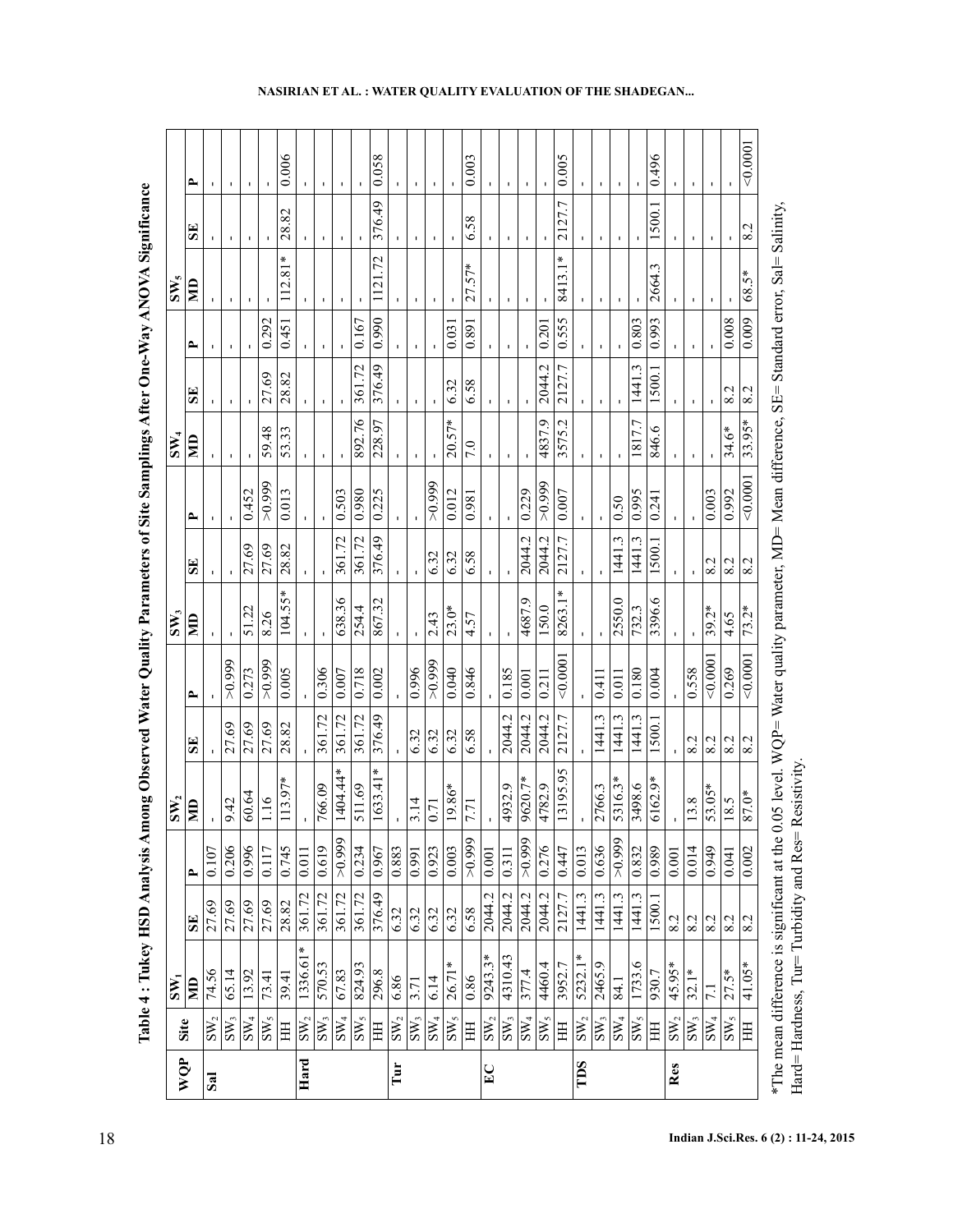| WQP               | Site                          | $\widetilde{\mathbf{s}}$ $\mathbf{w}_1$ |                        |                    | SW <sub>2</sub> |                         |               | SW <sub>3</sub> |        |          | SW <sub>4</sub> |                         |                          | SW <sub>5</sub> |                         |             |
|-------------------|-------------------------------|-----------------------------------------|------------------------|--------------------|-----------------|-------------------------|---------------|-----------------|--------|----------|-----------------|-------------------------|--------------------------|-----------------|-------------------------|-------------|
|                   |                               | <b>E</b>                                | $\mathbf{S}$           | ≏                  | $\mathbf{E}$    | $\overline{\mathbf{S}}$ | ≏             | $\mathbf{E}$    | SE     | <b>P</b> | $\mathbf{g}$    | $\overline{\mathbf{S}}$ | $\overline{\phantom{a}}$ | $\mathbf{q}$    | $\overline{\mathbf{S}}$ | ≏           |
| ್ಟ                |                               | 74.56                                   | 27.69                  | 0.107              |                 |                         |               |                 |        |          |                 |                         |                          |                 |                         |             |
|                   | $\frac{\text{WS}}{\text{MS}}$ | 65.14                                   | 27.69                  | 0.206              | 9.42            | 27.69                   | >0.999        |                 |        |          |                 |                         |                          |                 |                         |             |
|                   | $_{\rm ss}$                   | 13.92                                   | 27.69                  | 0.996              | 60.64           | 27.69                   | 0.273         | 51.22           | 27.69  | 0.452    | $\mathbf{I}$    |                         |                          |                 |                         |             |
|                   | SW <sub>5</sub>               | 73.41                                   | 27.69                  | 0.117              | 1.16            | 27.69                   | >0.999        | 8.26            | 27.69  | 566.0<   | 59.48           | 27.69                   | 0.292                    |                 |                         |             |
|                   | HH                            | 39.41                                   | 28.82                  | 0.745              | 113.97*         | 28.82                   | 0.005         | $104.55*$       | 28.82  | 0.013    | 53.33           | 28.82                   | 0.451                    | $112.81*$       | 28.82                   | 0.006       |
| Hard              | SW <sub>2</sub>               | X<br>1336.61                            | 361.72                 | 0.011              |                 |                         |               |                 |        |          |                 |                         |                          |                 |                         |             |
|                   | $_{\rm WS}$                   | 570.53                                  | 361.72                 | 0.619              | 766.09          | 361.72                  | 0.306         |                 |        |          |                 |                         |                          |                 |                         |             |
|                   | $SW_4$                        | 67.83                                   | 361.72                 | >0.999             | 1404.44*        | 361.72                  | 0.007         | 638.36          | 361.72 | 0.503    | $\mathbf{I}$    | $\mathbf{I}$            |                          |                 |                         |             |
|                   | SW <sub>5</sub>               | 824.93                                  | 361.72                 | 0.234              | 511.69          | 361.72                  | 0.718         | 254.4           | 361.72 | 0860     | 892.76          | 361.72                  | 0.167                    |                 |                         |             |
|                   | HH                            | 296.8                                   | 376.49                 | 0.967              | 1633.41*        | 376.49                  | 0.002         | 867.32          | 376.49 | 0.225    | 228.97          | 376.49                  | 0.990                    | 1121.72         | 376.49                  | 0.058       |
| $\Gamma {\rm ur}$ | $\mathrm{SW}_2$               | 6.86                                    | 6.32                   | 0.883              |                 |                         |               |                 |        |          |                 |                         |                          |                 |                         |             |
|                   | $\text{SW}_3$                 | 3.71                                    | 6.32                   | 0.991              | 3.14            | 6.32                    | 966'0         |                 |        |          | $\mathbf{I}$    |                         |                          |                 |                         |             |
|                   | SW <sub>4</sub>               | 6.14                                    | 6.32                   | 0.923              | 0.71            | 6.32                    | $6660 \times$ | 2.43            | 6.32   | >0.999   |                 |                         |                          |                 |                         |             |
|                   | SW <sub>5</sub>               | 26.71*                                  | 6.32                   | 0.003              | $19.86*$        | 6.32                    | 0.040         | $23.0*$         | 6.32   | 0.012    | $20.57*$        | 6.32                    | 0.031                    |                 |                         |             |
|                   | HН                            | 0.86                                    | 6.58                   | > 0.999            | 7.71            | 6.58                    | 0.846         | 4.57            | 6.58   | 0.981    | 7.0             | 6.58                    | 0.891                    | $27.57*$        | 6.58                    | 0.003       |
| $E_{\rm C}$       | $\mathrm{SW}_2$               | 9243.3*                                 | 2044.2                 | $\overline{0.001}$ |                 |                         |               |                 |        |          |                 |                         |                          |                 |                         |             |
|                   | $\text{SW}_3$                 | 4310.43                                 | 2044.2                 | 0.311              | 4932.9          | 2044.2                  | 0.185         | $\mathbf{I}$    |        |          | $\mathbf{I}$    |                         |                          |                 |                         |             |
|                   | SW <sub>4</sub>               | 377.4                                   | 2044.2                 | > 0.999            | 9620.7*         | 2044.2                  | 0.001         | 4687.9          | 2044.2 | 0.229    | $\mathbf{I}$    | $\mathbf{I}$            |                          |                 |                         |             |
|                   | SW <sub>5</sub>               | 4460.4                                  | 2044.2                 | 0.276              | 4782.9          | 2044.2                  | 0.211         | 150.0           | 2044.2 | > 0.999  | 4837.9          | 2044.2                  | 0.201                    |                 |                         |             |
|                   | HН                            | 3952.7                                  | 2127.7                 | 0.447              | 13195.95        | 2127.7                  | 0.0001        | 8263.1*         | 2127.7 | 0.007    | 3575.2          | 2127.7                  | 0.555                    | 8413.1*         | 2127.7                  | 0.005       |
| TDS               | $\mathrm{SW}_2$               | $5232.1*$                               | $\dot{\omega}$<br>1441 | 0.013              |                 |                         |               |                 |        |          |                 |                         |                          |                 |                         |             |
|                   | SW <sub>3</sub>               | 2465.9                                  | 1441.3                 | 0.636              | 2766.3          | 1441.3                  | 0.411         |                 |        |          | $\mathbf{I}$    |                         |                          | J.              |                         | I.          |
|                   | $\widetilde{\mathsf{x}}$      | 84.1                                    | 1441.3                 | 50,000             | 5316.3*         | 1441.3                  | 0.011         | 2550.0          | 1441.3 | 0.50     |                 |                         |                          |                 |                         | $\mathbf I$ |
|                   | SW <sub>5</sub>               | 1733.6                                  | 1441.3                 | 0.832              | 98645           | 1441.3                  | 0.180         | 732.3           | 1441.3 | 0.995    | 1817.7          | 1441.3                  | 0.803                    |                 |                         |             |
|                   | HН                            | 930.7                                   | 1500.1                 | 686.0              | 6162.9*         | .500.1                  | 0.004         | 3396.6          | 1500.1 | 0.241    | 846.6           | 1500.1                  | $\frac{666}{100}$        | 2664.3          | 1500.1                  | 0.496       |
| Res               | $\mathrm{SW}_2$               | 45.95*                                  | 8.2                    | 0.001              |                 |                         |               |                 |        |          |                 |                         |                          |                 |                         |             |
|                   | SW <sub>3</sub>               | $32.1*$                                 | 8.2                    | 0.014              | 13.8            | 8.2                     | 0.558         | $\mathbf{I}$    |        |          | $\mathbf{I}$    |                         |                          |                 |                         |             |
|                   | SW <sub>4</sub>               | 7.1                                     | 8.2                    | 0.949              | 53.05*          | 8.2                     | 0.000         | 39.2*           | 8.2    | 0.003    | $\mathbf{I}$    | $\mathbf{I}$            |                          |                 |                         | $\mathbf I$ |
|                   | SW <sub>5</sub>               | $27.5*$                                 | 8.2                    | 0.041              | 18.5            | 8.2                     | 0.269         | 4.65            | 8.2    | 0.992    | 34.6*           | 8.2                     | 0.008                    |                 |                         |             |
|                   | HН                            | 41.05*                                  | 8.2                    | 0.002              | 87.0*           | 8.2                     | 0.0001        | $73.2*$         | 8.2    | 0.0001   | 33.95*          | 8.2                     | 0.009                    | 68.5*           | 8.2                     | < 0.0001    |
|                   |                               |                                         |                        |                    |                 |                         |               |                 |        |          |                 |                         |                          |                 |                         |             |

Table 4 : Tukey HSD Analysis Among Observed Water Ouality Parameters of Site Samplings After One-Way ANOVA Significance Table 4: Tukey HSD Analysis Among Observed Water Quality Parameters of Site Samplings After One-Way ANOVA Significance

# **NASIRIAN ET AL. WATER QUALITY EVALUATION OF THE SHADEGAN... :**

<sup>\*</sup>The mean difference is significant at the 0.05 level. WQP= Water quality parameter, MD= Mean difference, SE= Standard error, Sal= Salinity, \*The mean difference is significant at the 0.05 level. WQP= Water quality parameter, MD= Mean difference, SE= Standard error, Sal= Salinity, Hard= Hardness, Tur= Turbidity and Res= Resistivity. Hard= Hardness, Tur= Turbidity and Res= Resistivity.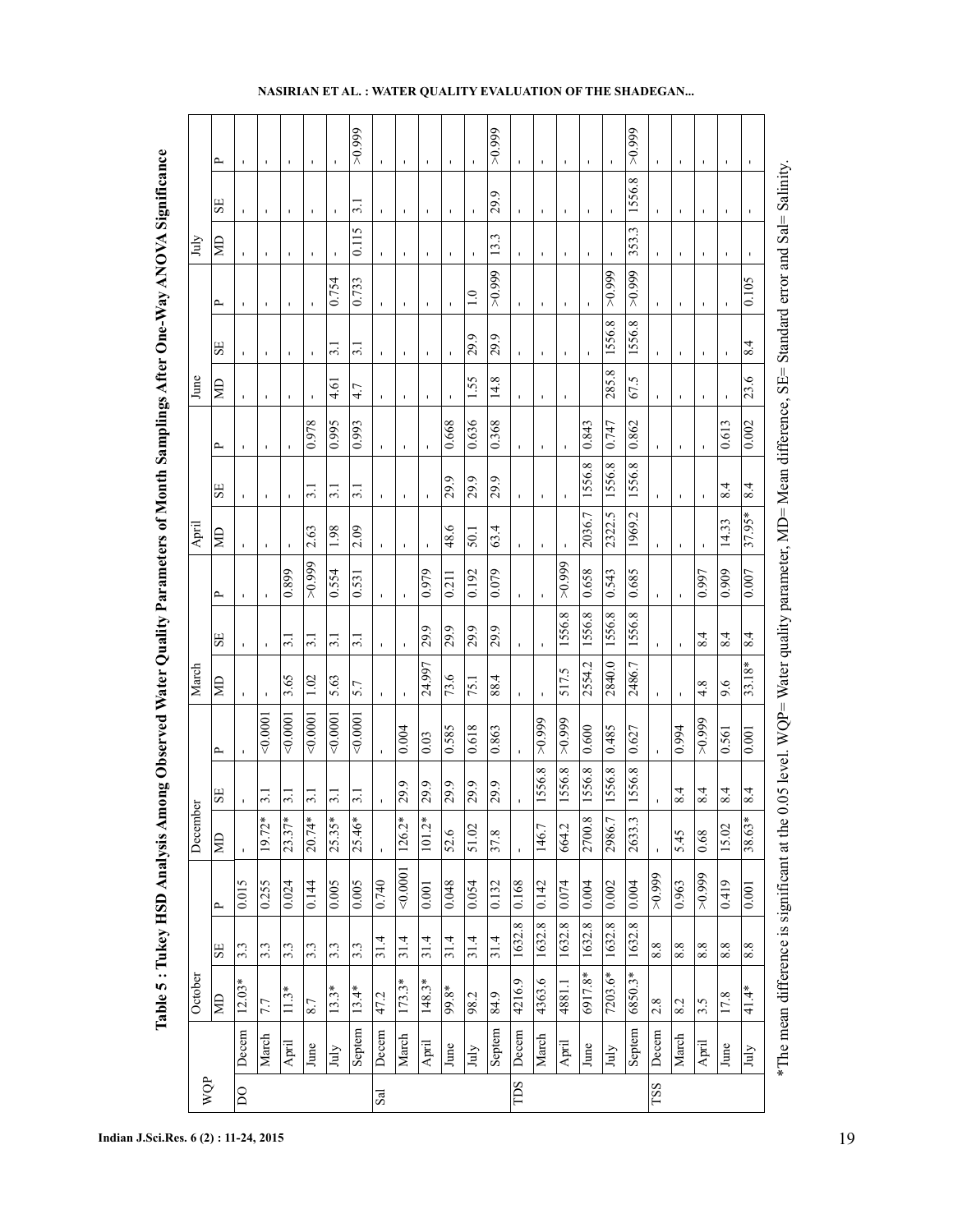|                |               | October                                    |                  |        | Decem              | ber    |                                                                                                      | March        |              |                | April          |                |                | June         |              |                                | July           |                          |                                |
|----------------|---------------|--------------------------------------------|------------------|--------|--------------------|--------|------------------------------------------------------------------------------------------------------|--------------|--------------|----------------|----------------|----------------|----------------|--------------|--------------|--------------------------------|----------------|--------------------------|--------------------------------|
| WQP            |               | <b>Q</b>                                   | SE               | $\sim$ | <b>GIN</b>         | SE     | $\mathbf{r}$                                                                                         | g            | SE           | д              | ⋚              | $_{\rm SE}$    | $\mathbf{r}$   | g            | SE           | д                              | g              | SE                       | $\sim$                         |
| $\overline{D}$ | Decem         | 12.03*                                     | 3.3              | 0.015  |                    |        |                                                                                                      |              | $\mathbf{I}$ | $\mathbf{I}$   | $\mathbf{I}$   | $\mathbf{I}$   | $\mathbf{I}$   | $\mathbf{I}$ | $\mathbf{I}$ | $\blacksquare$                 |                | $\blacksquare$           |                                |
|                | March         | 7.7                                        | 3.3              | 0.255  | 19.72*             | 3.1    | 0.0001                                                                                               |              | $\mathbf{I}$ |                |                | $\mathbf{I}$   | $\mathbf{I}$   | $\mathbf{I}$ | $\mathbf{I}$ | $\blacksquare$                 |                | $\blacksquare$           |                                |
|                | April         | $11.3*$                                    | 3.3              | 0.024  | $23.37*$           | 3.1    | < 0.0001                                                                                             | 3.65         | 3.1          | 668.0          | $\mathbf{I}$   | $\mathbf{I}$   |                | $\mathbf{I}$ | $\mathbf{I}$ | $\mathbf{I}$                   |                | $\blacksquare$           |                                |
|                | June          | 8.7                                        | $3.\overline{3}$ | 0.144  | $20.74*$           | 3.1    | 0.0001                                                                                               | 1.02         | 3.1          | 6660<          | 2.63           | 3.1            | 0.978          | $\mathbf{I}$ | $\mathbf{I}$ | $\mathbf{I}$                   |                | $\mathbf{I}$             |                                |
|                | July          | $13.3*$                                    | 3.3              | 0.005  | $25.35*$           | 3.1    | 0.0001                                                                                               | 5.63         | 3.1          | 0.554          | 1.98           | 3.1            | 0.995          | 4.61         | 3.1          | 0.754                          |                | $\mathbf{I}$             |                                |
|                | Septem        | $13.4*$                                    | $3.\overline{3}$ | 0.005  | 25.46*             | 3.1    | 0.0001                                                                                               | 5.7          | 3.1          | 0.531          | 2.09           | 3.1            | 0.993          | 4.7          | 3.1          | 0.733                          | 0.115          | 3.1                      | $6660 \times$                  |
| Sal            | Decem         | 47.2                                       | 31.4             | 0.740  | $\bar{\mathbf{r}}$ |        |                                                                                                      | $\mathbf{I}$ | $\mathbf{I}$ | $\blacksquare$ | $\blacksquare$ | $\blacksquare$ | $\mathbf{I}$   | $\mathbf{I}$ | $\mathbf{I}$ | $\blacksquare$                 | $\mathbf{I}$   | $\blacksquare$           |                                |
|                | March         | $173.3*$                                   | 31.4             | 100000 | 126.2*             | 29.9   | 0.004                                                                                                | J.           |              |                |                | $\blacksquare$ | J.             | f,           | $\mathbf{I}$ | J.                             | $\blacksquare$ | $\blacksquare$           |                                |
|                | April         | 148.3*                                     | 31.4             | 0.001  | $101.2*$           | 6.67   | 0.03                                                                                                 | 24.997       | 6.67         | 0.979          |                |                |                |              | $\mathbf{I}$ | $\mathbf{I}$                   |                | $\blacksquare$           |                                |
|                | June          | \$8.66                                     | 31.4             | 0.048  | 52.6               | 29.9   | 0.585                                                                                                | 73.6         | 29.9         | 0.211          | 48.6           | 29.9           | 0.668          | $\mathbf{I}$ |              | $\mathbf{I}$                   |                | $\blacksquare$           |                                |
|                | July          | 98.2                                       | 31.4             | 0.054  | 51.02              | 29.9   | 0.618                                                                                                | 75.1         | 29.9         | 0.192          | 50.1           | 29.9           | 0.636          | 1.55         | 29.9         | 1.0                            |                | $\overline{\phantom{a}}$ |                                |
|                | Septem        | 84.9                                       | 31.4             | 0.132  | 37.8               | 29.9   | 0.863                                                                                                | 88.4         | 29.9         | 0.079          | 63.4           | 29.9           | 0.368          | 14.8         | 29.9         | $6660 \times$                  | 13.3           | 29.9                     | $666^{\circ}$ <sub>0&lt;</sub> |
| TDS            | Decem         | 4216.9                                     | 1632.8           | 0.168  |                    |        |                                                                                                      |              |              |                |                |                |                |              |              | $\mathbf{I}$                   |                | $\mathbf{I}$             |                                |
|                | March         | 4363.6                                     | 1632.8           | 0.142  | 146.7              | 1556.8 | 666'0 <                                                                                              | $\mathbf{I}$ | $\mathbf{I}$ |                | $\mathbf{I}$   | $\mathbf{I}$   | $\blacksquare$ | $\mathbf{I}$ | $\mathbf{I}$ | $\mathbf{I}$                   | $\mathbf{I}$   | $\mathbf{I}$             |                                |
|                | April         | 4881.1                                     | 1632.8           | 0.074  | 664.2              | 1556.8 | > 0.999                                                                                              | 517.5        | 1556.8       | 666'0 <        |                |                |                |              |              | $\blacksquare$                 |                | $\mathbf I$              |                                |
|                | June          | 6917.8*                                    | 1632.8           | 0.004  | 2700.8             | 1556.8 | 0.600                                                                                                | 2554.2       | 1556.8       | 0.658          | 2036.7         | 1556.8         | 0.843          |              |              | $\mathbf{I}$                   |                | $\blacksquare$           |                                |
|                | July          | 7203.6*                                    | 1632.8           | 0.002  | 2986.7             | 1556.8 | 0.485                                                                                                | 2840.0       | 1556.8       | 0.543          | 2322.5         | 1556.8         | 0.747          | 285.8        | 1556.8       | $666^{\circ}$ <sub>0&lt;</sub> | $\mathbf{I}$   | $\mathbf{I}$             |                                |
|                | Septem        | 6850.3*                                    | 1632.8           | 0.004  | 2633.3             | 1556.8 | 0.627                                                                                                | 2486.7       | 1556.8       | 0.685          | 1969.2         | 1556.8         | 0.862          | 67.5         | 1556.8       | $6660 \times$                  | 353.3          | 1556.8                   | $6660 \times$                  |
| TSS            | Decem         | 2.8                                        | 8.8              | 6660 < |                    |        |                                                                                                      | $\mathbf{I}$ |              |                |                |                |                |              |              | $\mathbf{I}$                   |                | $\blacksquare$           |                                |
|                | March         | 8.2                                        | 8.8              | 0.963  | 5.45               | 8.4    | 0.994                                                                                                | $\mathbf{I}$ | $\mathbf{I}$ |                |                | $\mathbf{I}$   | $\mathbf{I}$   |              | $\mathbf{I}$ | $\mathbf{I}$                   |                | $\mathbf{I}$             |                                |
|                | April         | 3.5                                        | 8.8              | 666'0< | 0.68               | 8.4    | >0.999                                                                                               | 4.8          | 8.4          | 0.997          | $\mathbf{I}$   | $\mathbf{r}$   | $\mathbf{I}$   | $\mathbf{r}$ | $\mathbf{I}$ | $\mathbf{I}$                   | $\blacksquare$ | $\mathbf{r}$             | $\mathbf{I}$                   |
|                | $_{\rm June}$ | 17.8                                       | 8.8              | 0.419  | 15.02              | 8.4    | 0.561                                                                                                | 9.6          | 8.4          | 606'0          | 14.33          | 8.4            | 0.613          |              | $\mathbf{I}$ | $\blacksquare$                 |                | $\mathbf I$              |                                |
|                | July          | $41.4*$                                    | 8.8              | 0.001  | 38.63*             | 8.4    | 0.001                                                                                                | 33.18*       | 8.4          | $0.007$        | 37.95*         | 8.4            | 0.002          | 23.6         | 8.4          | 0.105                          |                | $\blacksquare$           |                                |
|                |               | *The mean difference is significant at the |                  |        |                    |        | 0.05 level. WQP= Water quality parameter, MD= Mean difference, SE= Standard error and Sal= Salinity. |              |              |                |                |                |                |              |              |                                |                |                          |                                |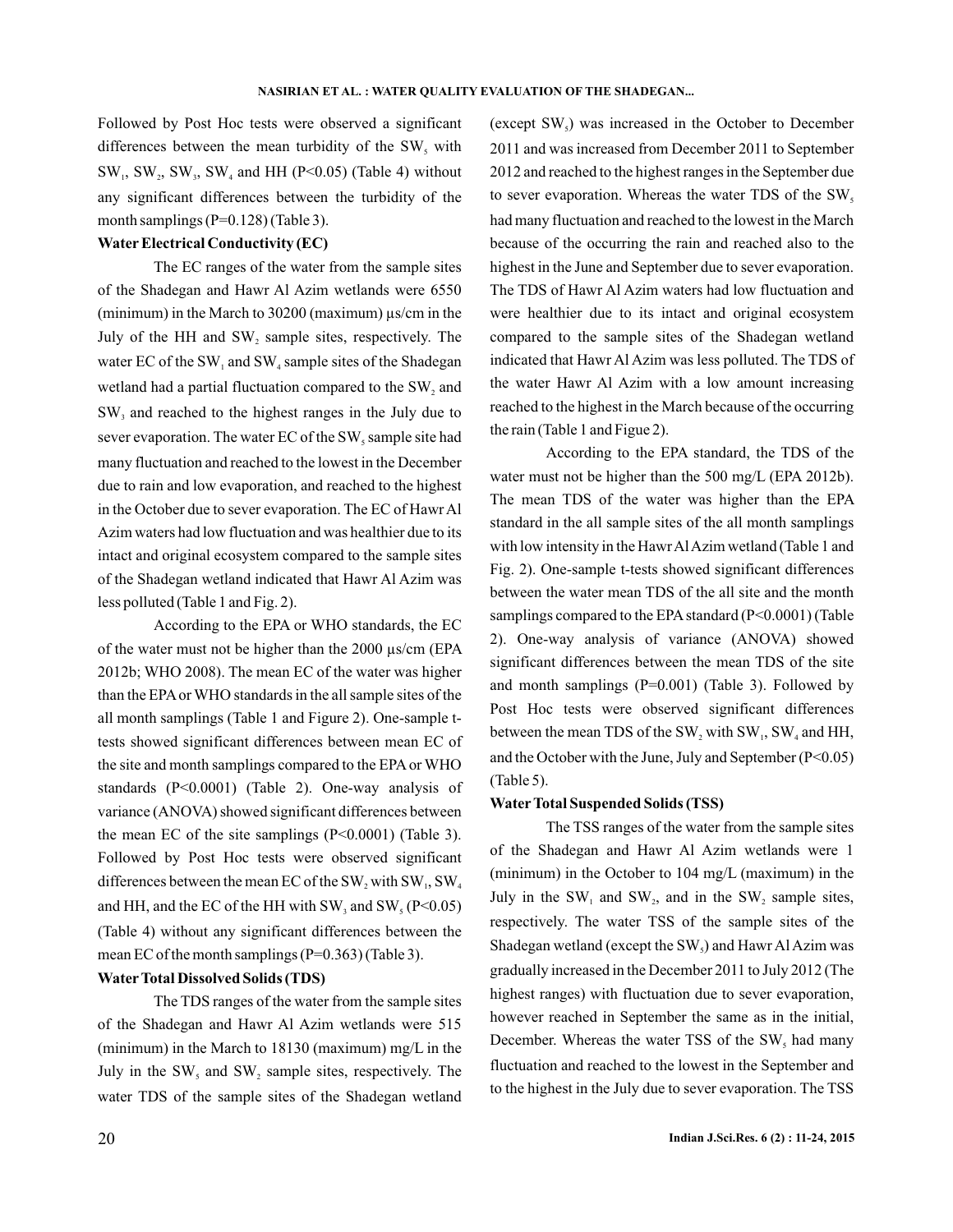Followed by Post Hoc tests were observed a significant differences between the mean turbidity of the  $SW<sub>s</sub>$  with  $SW<sub>1</sub>$ ,  $SW<sub>2</sub>$ ,  $SW<sub>3</sub>$ ,  $SW<sub>4</sub>$  and HH (P<0.05) (Table 4) without any significant differences between the turbidity of the month samplings (P=0.128) (Table 3).

## **Water Electrical Conductivity (EC)**

The EC ranges of the water from the sample sites of the Shadegan and Hawr Al Azim wetlands were 6550 (minimum) in the March to 30200 (maximum) µs/cm in the July of the HH and  $SW_2$  sample sites, respectively. The water EC of the SW<sub>1</sub> and SW<sub>4</sub> sample sites of the Shadegan wetland had a partial fluctuation compared to the  $SW_2$  and  $SW<sub>3</sub>$  and reached to the highest ranges in the July due to sever evaporation. The water EC of the SW<sub>s</sub> sample site had many fluctuation and reached to the lowest in the December due to rain and low evaporation, and reached to the highest in the October due to sever evaporation. The EC of Hawr Al Azim waters had low fluctuation and was healthier due to its intact and original ecosystem compared to the sample sites of the Shadegan wetland indicated that Hawr Al Azim was less polluted (Table 1 and Fig. 2).

According to the EPA or WHO standards, the EC of the water must not be higher than the 2000 µs/cm (EPA 2012b; WHO 2008). The mean EC of the water was higher than the EPA or WHO standards in the all sample sites of the all month samplings (Table 1 and Figure 2). One-sample ttests showed significant differences between mean EC of the site and month samplings compared to the EPA or WHO standards (P<0.0001) (Table 2). One-way analysis of variance (ANOVA) showed significant differences between the mean EC of the site samplings (P<0.0001) (Table 3). Followed by Post Hoc tests were observed significant differences between the mean EC of the SW<sub>2</sub> with SW<sub>1</sub>, SW<sub>4</sub> and HH, and the EC of the HH with  $SW<sub>3</sub>$  and  $SW<sub>5</sub>$  (P<0.05) (Table 4) without any significant differences between the mean EC of the month samplings  $(P=0.363)$  (Table 3).

# **WaterTotal Dissolved Solids (TDS)**

The TDS ranges of the water from the sample sites of the Shadegan and Hawr Al Azim wetlands were 515 (minimum) in the March to 18130 (maximum) mg/L in the July in the  $SW<sub>s</sub>$  and  $SW<sub>2</sub>$  sample sites, respectively. The water TDS of the sample sites of the Shadegan wetland

(except  $SW<sub>s</sub>$ ) was increased in the October to December 2011 and was increased from December 2011 to September 2012 and reached to the highest ranges in the September due to sever evaporation. Whereas the water TDS of the SW 5 had many fluctuation and reached to the lowest in the March because of the occurring the rain and reached also to the highest in the June and September due to sever evaporation. The TDS of Hawr Al Azim waters had low fluctuation and were healthier due to its intact and original ecosystem compared to the sample sites of the Shadegan wetland indicated that Hawr Al Azim was less polluted. The TDS of the water Hawr Al Azim with a low amount increasing reached to the highest in the March because of the occurring the rain (Table 1 and Figue 2).

According to the EPA standard, the TDS of the water must not be higher than the 500 mg/L (EPA 2012b). The mean TDS of the water was higher than the EPA standard in the all sample sites of the all month samplings with low intensity in the HawrAlAzim wetland (Table 1 and Fig. 2). One-sample t-tests showed significant differences between the water mean TDS of the all site and the month samplings compared to the EPA standard (P<0.0001) (Table 2). One-way analysis of variance (ANOVA) showed significant differences between the mean TDS of the site and month samplings  $(P=0.001)$  (Table 3). Followed by Post Hoc tests were observed significant differences between the mean TDS of the  $SW_2$  with  $SW_1$ ,  $SW_4$  and HH, and the October with the June, July and September  $(P<0.05)$ (Table 5).

#### **WaterTotal Suspended Solids (TSS)**

The TSS ranges of the water from the sample sites of the Shadegan and Hawr Al Azim wetlands were 1 (minimum) in the October to 104 mg/L (maximum) in the July in the SW<sub>1</sub> and SW<sub>2</sub>, and in the SW<sub>2</sub> sample sites, respectively. The water TSS of the sample sites of the Shadegan wetland (except the  $SW<sub>s</sub>$ ) and Hawr Al Azim was gradually increased in the December 2011 to July 2012 (The highest ranges) with fluctuation due to sever evaporation, however reached in September the same as in the initial, December. Whereas the water TSS of the SW<sub>s</sub> had many fluctuation and reached to the lowest in the September and to the highest in the July due to sever evaporation. The TSS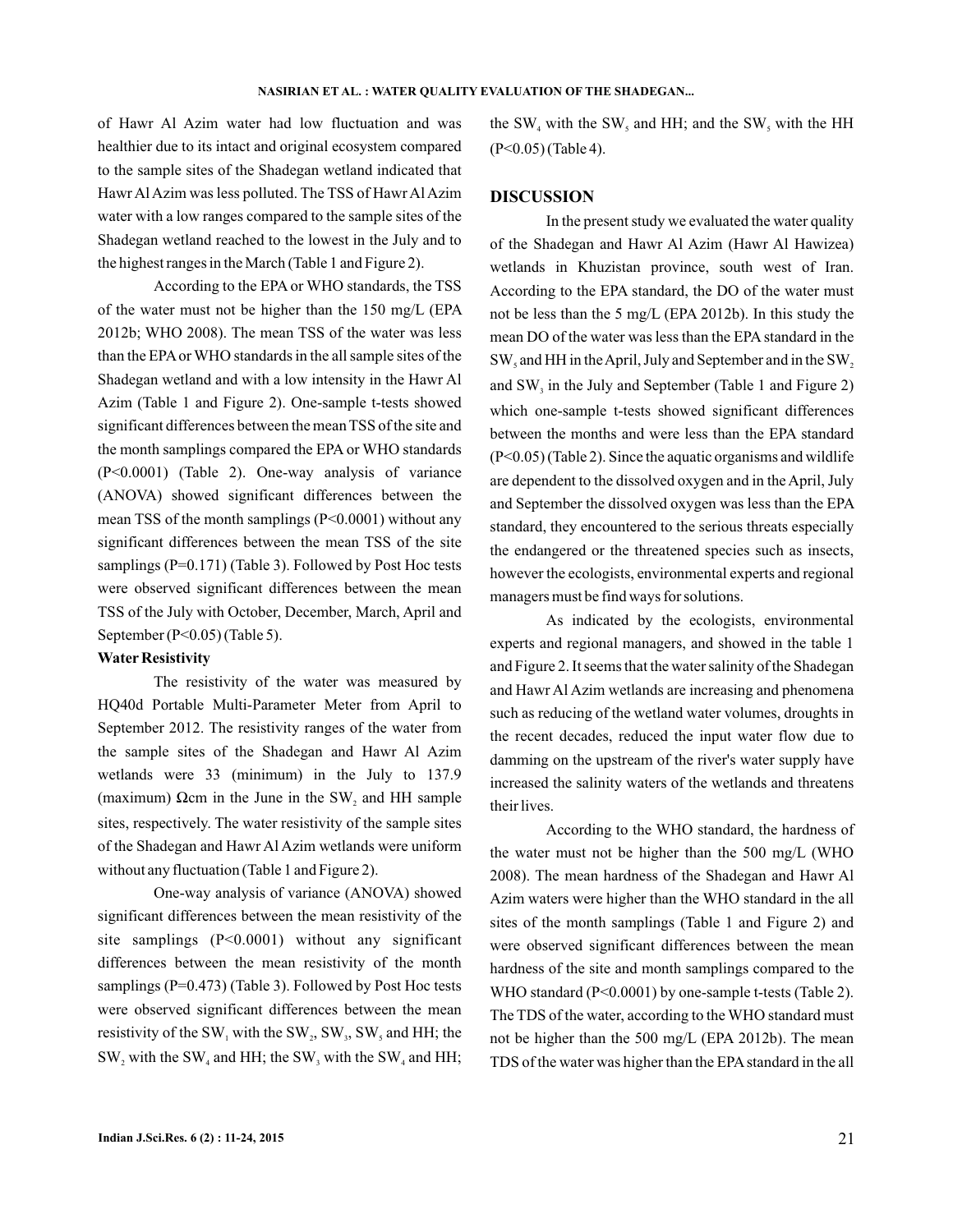of Hawr Al Azim water had low fluctuation and was healthier due to its intact and original ecosystem compared to the sample sites of the Shadegan wetland indicated that Hawr Al Azim was less polluted. The TSS of Hawr Al Azim water with a low ranges compared to the sample sites of the Shadegan wetland reached to the lowest in the July and to the highest ranges in the March (Table 1 and Figure 2).

According to the EPA or WHO standards, the TSS of the water must not be higher than the 150 mg/L (EPA 2012b; WHO 2008). The mean TSS of the water was less than the EPA orWHO standards in the all sample sites of the Shadegan wetland and with a low intensity in the Hawr Al Azim (Table 1 and Figure 2). One-sample t-tests showed significant differences between the mean TSS of the site and the month samplings compared the EPA or WHO standards (P<0.0001) (Table 2). One-way analysis of variance (ANOVA) showed significant differences between the mean TSS of the month samplings (P<0.0001) without any significant differences between the mean TSS of the site samplings (P=0.171) (Table 3). Followed by Post Hoc tests were observed significant differences between the mean TSS of the July with October, December, March, April and September (P<0.05) (Table 5).

### **Water Resistivity**

The resistivity of the water was measured by HQ40d Portable Multi-Parameter Meter from April to September 2012. The resistivity ranges of the water from the sample sites of the Shadegan and Hawr Al Azim wetlands were 33 (minimum) in the July to 137.9 (maximum)  $\Omega$ cm in the June in the SW<sub>2</sub> and HH sample sites, respectively. The water resistivity of the sample sites of the Shadegan and Hawr Al Azim wetlands were uniform without any fluctuation (Table 1 and Figure 2).

One-way analysis of variance (ANOVA) showed significant differences between the mean resistivity of the site samplings (P<0.0001) without any significant differences between the mean resistivity of the month samplings (P=0.473) (Table 3). Followed by Post Hoc tests were observed significant differences between the mean resistivity of the SW<sub>1</sub> with the SW<sub>2</sub>, SW<sub>3</sub>, SW<sub>5</sub> and HH; the  $SW_2$  with the SW<sub>4</sub> and HH; the SW<sub>3</sub> with the SW<sub>4</sub> and HH;

the  $SW_4$  with the SW<sub>s</sub> and HH; and the SW<sub>s</sub> with the HH (P<0.05) (Table 4).

# **DISCUSSION**

In the present study we evaluated the water quality of the Shadegan and Hawr Al Azim (Hawr Al Hawizea) wetlands in Khuzistan province, south west of Iran. According to the EPA standard, the DO of the water must not be less than the 5 mg/L (EPA 2012b). In this study the mean DO of the water was less than the EPA standard in the  $SW<sub>s</sub>$  and HH in the April, July and September and in the SW<sub>2</sub> and  $SW<sub>3</sub>$  in the July and September (Table 1 and Figure 2) which one-sample t-tests showed significant differences between the months and were less than the EPA standard (P<0.05) (Table 2). Since the aquatic organisms and wildlife are dependent to the dissolved oxygen and in the April, July and September the dissolved oxygen was less than the EPA standard, they encountered to the serious threats especially the endangered or the threatened species such as insects, however the ecologists, environmental experts and regional managers must be find ways for solutions.

As indicated by the ecologists, environmental experts and regional managers, and showed in the table 1 and Figure 2. It seems that the water salinity of the Shadegan and Hawr Al Azim wetlands are increasing and phenomena such as reducing of the wetland water volumes, droughts in the recent decades, reduced the input water flow due to damming on the upstream of the river's water supply have increased the salinity waters of the wetlands and threatens their lives.

According to the WHO standard, the hardness of the water must not be higher than the 500 mg/L (WHO 2008). The mean hardness of the Shadegan and Hawr Al Azim waters were higher than the WHO standard in the all sites of the month samplings (Table 1 and Figure 2) and were observed significant differences between the mean hardness of the site and month samplings compared to the WHO standard (P<0.0001) by one-sample t-tests (Table 2). The TDS of the water, according to the WHO standard must not be higher than the 500 mg/L (EPA 2012b). The mean TDS of the water was higher than the EPA standard in the all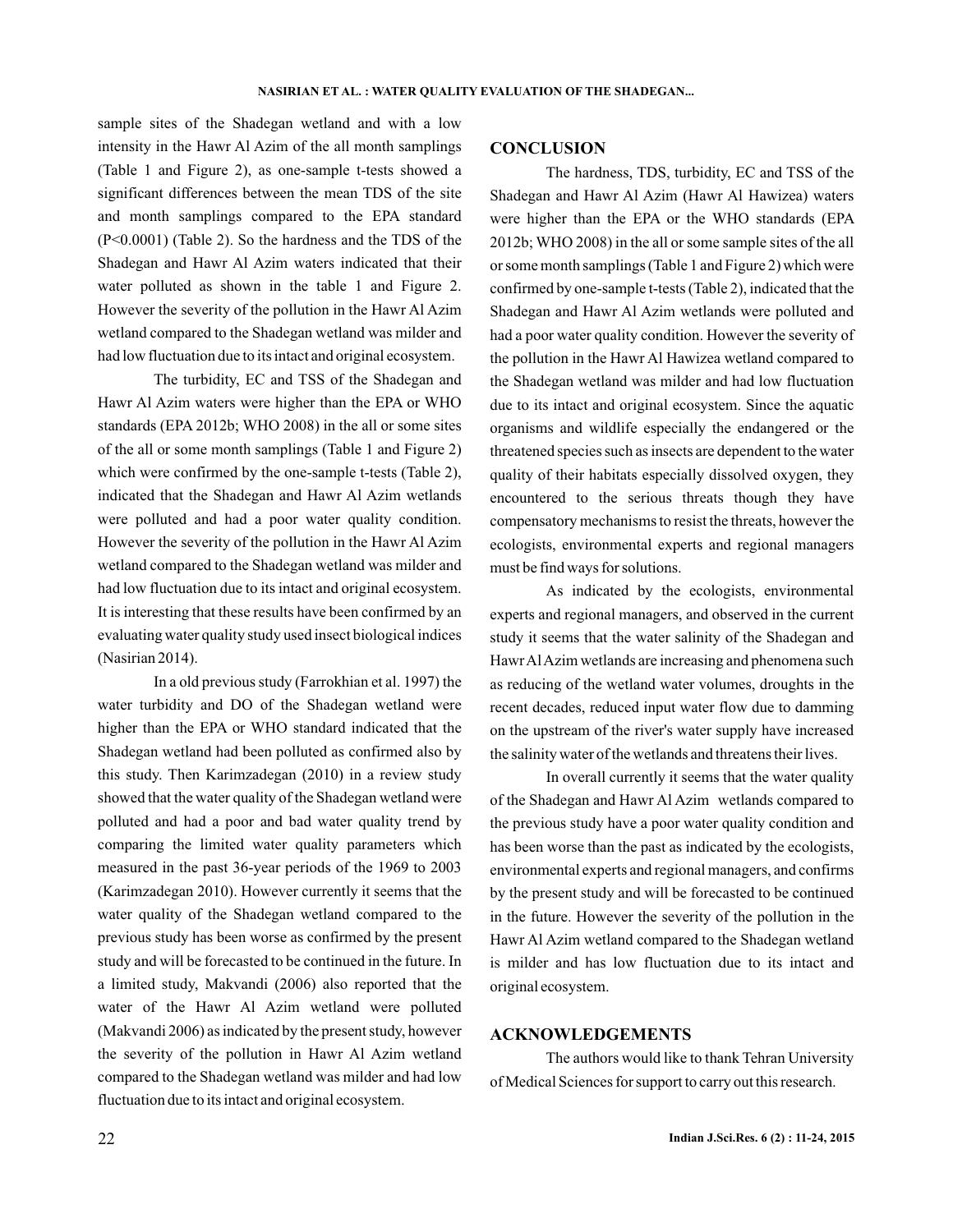sample sites of the Shadegan wetland and with a low intensity in the Hawr Al Azim of the all month samplings (Table 1 and Figure 2), as one-sample t-tests showed a significant differences between the mean TDS of the site and month samplings compared to the EPA standard (P<0.0001) (Table 2). So the hardness and the TDS of the Shadegan and Hawr Al Azim waters indicated that their water polluted as shown in the table 1 and Figure 2. However the severity of the pollution in the Hawr Al Azim wetland compared to the Shadegan wetland was milder and had low fluctuation due to its intact and original ecosystem.

The turbidity, EC and TSS of the Shadegan and Hawr Al Azim waters were higher than the EPA or WHO standards (EPA 2012b; WHO 2008) in the all or some sites of the all or some month samplings (Table 1 and Figure 2) which were confirmed by the one-sample t-tests (Table 2), indicated that the Shadegan and Hawr Al Azim wetlands were polluted and had a poor water quality condition. However the severity of the pollution in the Hawr Al Azim wetland compared to the Shadegan wetland was milder and had low fluctuation due to its intact and original ecosystem. It is interesting that these results have been confirmed by an evaluating water quality study used insect biological indices (Nasirian 2014).

In a old previous study (Farrokhian et al. 1997) the water turbidity and DO of the Shadegan wetland were higher than the EPA or WHO standard indicated that the Shadegan wetland had been polluted as confirmed also by this study. Then Karimzadegan (2010) in a review study showed that the water quality of the Shadegan wetland were polluted and had a poor and bad water quality trend by comparing the limited water quality parameters which measured in the past 36-year periods of the 1969 to 2003 (Karimzadegan 2010). However currently it seems that the water quality of the Shadegan wetland compared to the previous study has been worse as confirmed by the present study and will be forecasted to be continued in the future. In a limited study, Makvandi (2006) also reported that the water of the Hawr Al Azim wetland were polluted (Makvandi 2006) as indicated by the present study, however the severity of the pollution in Hawr Al Azim wetland compared to the Shadegan wetland was milder and had low fluctuation due to its intact and original ecosystem.

## **CONCLUSION**

The hardness, TDS, turbidity, EC and TSS of the Shadegan and Hawr Al Azim (Hawr Al Hawizea) waters were higher than the EPA or the WHO standards (EPA 2012b; WHO 2008) in the all or some sample sites of the all or some month samplings (Table 1 and Figure 2) which were confirmed by one-sample t-tests (Table 2), indicated that the Shadegan and Hawr Al Azim wetlands were polluted and had a poor water quality condition. However the severity of the pollution in the Hawr Al Hawizea wetland compared to the Shadegan wetland was milder and had low fluctuation due to its intact and original ecosystem. Since the aquatic organisms and wildlife especially the endangered or the threatened species such as insects are dependent to the water quality of their habitats especially dissolved oxygen, they encountered to the serious threats though they have compensatory mechanisms to resist the threats, however the ecologists, environmental experts and regional managers must be find ways for solutions.

As indicated by the ecologists, environmental experts and regional managers, and observed in the current study it seems that the water salinity of the Shadegan and HawrAlAzim wetlands are increasing and phenomena such as reducing of the wetland water volumes, droughts in the recent decades, reduced input water flow due to damming on the upstream of the river's water supply have increased the salinity water of the wetlands and threatens their lives.

In overall currently it seems that the water quality of the Shadegan and Hawr Al Azim wetlands compared to the previous study have a poor water quality condition and has been worse than the past as indicated by the ecologists, environmental experts and regional managers, and confirms by the present study and will be forecasted to be continued in the future. However the severity of the pollution in the Hawr Al Azim wetland compared to the Shadegan wetland is milder and has low fluctuation due to its intact and original ecosystem.

# **ACKNOWLEDGEMENTS**

The authors would like to thank Tehran University of Medical Sciences for support to carry out this research.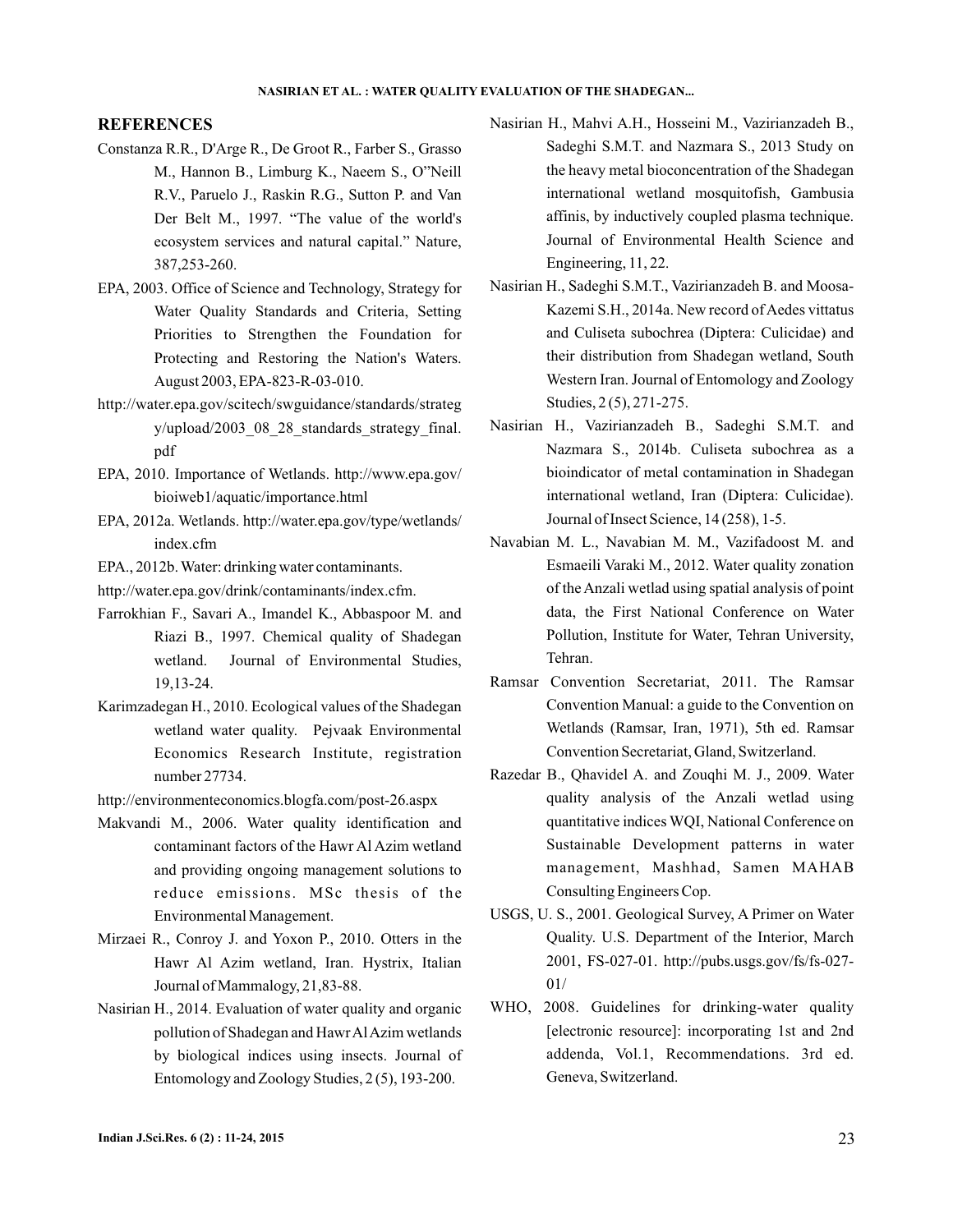## **REFERENCES**

- Constanza R.R., D'Arge R., De Groot R., Farber S., Grasso M., Hannon B., Limburg K., Naeem S., O"Neill R.V., Paruelo J., Raskin R.G., Sutton P. and Van Der Belt M., 1997. "The value of the world's ecosystem services and natural capital." Nature, 387,253-260.
- EPA, 2003. Office of Science and Technology, Strategy for Water Quality Standards and Criteria, Setting Priorities to Strengthen the Foundation for Protecting and Restoring the Nation's Waters. August 2003, EPA-823-R-03-010.
- http://water.epa.gov/scitech/swguidance/standards/strateg y/upload/2003\_08\_28\_standards\_strategy\_final. pdf
- EPA, 2010. Importance of Wetlands. http://www.epa.gov/ bioiweb1/aquatic/importance.html
- EPA, 2012a. Wetlands. http://water.epa.gov/type/wetlands/ index.cfm
- EPA., 2012b.Water: drinking water contaminants.
- http://water.epa.gov/drink/contaminants/index.cfm.
- Farrokhian F., Savari A., Imandel K., Abbaspoor M. and Riazi B., 1997. Chemical quality of Shadegan wetland. Journal of Environmental Studies, 19,13-24.
- Karimzadegan H., 2010. Ecological values of the Shadegan wetland water quality. Pejvaak Environmental Economics Research Institute, registration number 27734.
- http://environmenteconomics.blogfa.com/post-26.aspx
- Makvandi M., 2006. Water quality identification and contaminant factors of the Hawr Al Azim wetland and providing ongoing management solutions to reduce emissions. MSc thesis of the Environmental Management.
- Mirzaei R., Conroy J. and Yoxon P., 2010. Otters in the Hawr Al Azim wetland, Iran. Hystrix, Italian Journal of Mammalogy, 21,83-88.
- Nasirian H., 2014. Evaluation of water quality and organic pollution of Shadegan and HawrAlAzim wetlands by biological indices using insects. Journal of Entomology and Zoology Studies, 2 (5), 193-200.
- Nasirian H., Mahvi A.H., Hosseini M., Vazirianzadeh B., Sadeghi S.M.T. and Nazmara S., 2013 Study on the heavy metal bioconcentration of the Shadegan international wetland mosquitofish, Gambusia affinis, by inductively coupled plasma technique. Journal of Environmental Health Science and Engineering, 11, 22.
- Nasirian H., Sadeghi S.M.T., Vazirianzadeh B. and Moosa-Kazemi S.H., 2014a. New record of Aedes vittatus and Culiseta subochrea (Diptera: Culicidae) and their distribution from Shadegan wetland, South Western Iran. Journal of Entomology and Zoology Studies, 2 (5), 271-275.
- Nasirian H., Vazirianzadeh B., Sadeghi S.M.T. and Nazmara S., 2014b. Culiseta subochrea as a bioindicator of metal contamination in Shadegan international wetland, Iran (Diptera: Culicidae). Journal of Insect Science, 14 (258), 1-5.
- Navabian M. L., Navabian M. M., Vazifadoost M. and Esmaeili Varaki M., 2012. Water quality zonation of the Anzali wetlad using spatial analysis of point data, the First National Conference on Water Pollution, Institute for Water, Tehran University, Tehran.
- Ramsar Convention Secretariat, 2011. The Ramsar Convention Manual: a guide to the Convention on Wetlands (Ramsar, Iran, 1971), 5th ed. Ramsar Convention Secretariat, Gland, Switzerland.
- Razedar B., Qhavidel A. and Zouqhi M. J., 2009. Water quality analysis of the Anzali wetlad using quantitative indices WQI, National Conference on Sustainable Development patterns in water management, Mashhad, Samen MAHAB Consulting Engineers Cop.
- USGS, U. S., 2001. Geological Survey, A Primer on Water Quality. U.S. Department of the Interior, March 2001, FS-027-01. http://pubs.usgs.gov/fs/fs-027- 01/
- WHO, 2008. Guidelines for drinking-water quality [electronic resource]: incorporating 1st and 2nd addenda, Vol.1, Recommendations. 3rd ed. Geneva, Switzerland.